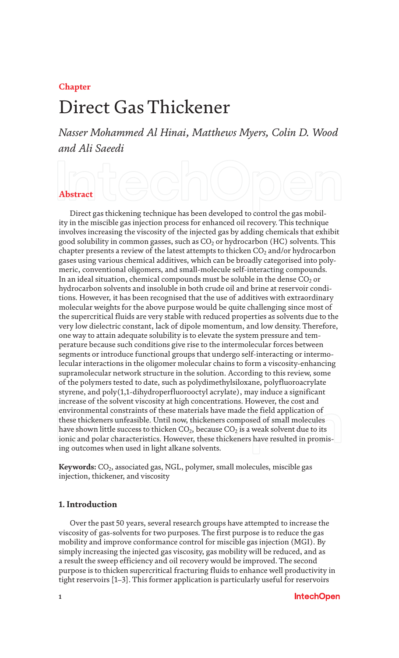#### **Chapter**

# Direct Gas Thickener

*Nasser Mohammed Al Hinai, Matthews Myers, Colin D. Wood and Ali Saeedi*

# **Abstract**

Direct gas thickening technique has been developed to control the gas mobility in the miscible gas injection process for enhanced oil recovery. This technique involves increasing the viscosity of the injected gas by adding chemicals that exhibit good solubility in common gasses, such as  $CO<sub>2</sub>$  or hydrocarbon (HC) solvents. This chapter presents a review of the latest attempts to thicken  $CO<sub>2</sub>$  and/or hydrocarbon gases using various chemical additives, which can be broadly categorised into polymeric, conventional oligomers, and small-molecule self-interacting compounds. In an ideal situation, chemical compounds must be soluble in the dense  $CO<sub>2</sub>$  or hydrocarbon solvents and insoluble in both crude oil and brine at reservoir conditions. However, it has been recognised that the use of additives with extraordinary molecular weights for the above purpose would be quite challenging since most of the supercritical fluids are very stable with reduced properties as solvents due to the very low dielectric constant, lack of dipole momentum, and low density. Therefore, one way to attain adequate solubility is to elevate the system pressure and temperature because such conditions give rise to the intermolecular forces between segments or introduce functional groups that undergo self-interacting or intermolecular interactions in the oligomer molecular chains to form a viscosity-enhancing supramolecular network structure in the solution. According to this review, some of the polymers tested to date, such as polydimethylsiloxane, polyfluoroacrylate styrene, and poly(1,1-dihydroperfluorooctyl acrylate), may induce a significant increase of the solvent viscosity at high concentrations. However, the cost and environmental constraints of these materials have made the field application of these thickeners unfeasible. Until now, thickeners composed of small molecules have shown little success to thicken  $CO<sub>2</sub>$ , because  $CO<sub>2</sub>$  is a weak solvent due to its ionic and polar characteristics. However, these thickeners have resulted in promising outcomes when used in light alkane solvents.

**Keywords:** CO<sub>2</sub>, associated gas, NGL, polymer, small molecules, miscible gas injection, thickener, and viscosity

#### **1. Introduction**

Over the past 50 years, several research groups have attempted to increase the viscosity of gas-solvents for two purposes. The first purpose is to reduce the gas mobility and improve conformance control for miscible gas injection (MGI). By simply increasing the injected gas viscosity, gas mobility will be reduced, and as a result the sweep efficiency and oil recovery would be improved. The second purpose is to thicken supercritical fracturing fluids to enhance well productivity in tight reservoirs [1–3]. This former application is particularly useful for reservoirs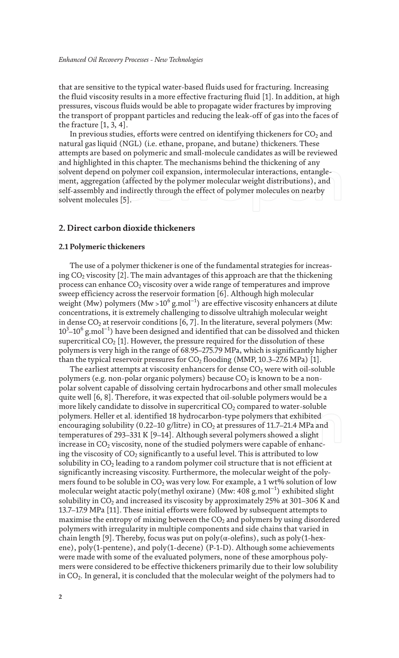that are sensitive to the typical water-based fluids used for fracturing. Increasing the fluid viscosity results in a more effective fracturing fluid [1]. In addition, at high pressures, viscous fluids would be able to propagate wider fractures by improving the transport of proppant particles and reducing the leak-off of gas into the faces of the fracture  $[1, 3, 4]$ .

In previous studies, efforts were centred on identifying thickeners for  $CO<sub>2</sub>$  and natural gas liquid (NGL) (i.e. ethane, propane, and butane) thickeners. These attempts are based on polymeric and small-molecule candidates as will be reviewed and highlighted in this chapter. The mechanisms behind the thickening of any solvent depend on polymer coil expansion, intermolecular interactions, entanglement, aggregation (affected by the polymer molecular weight distributions), and self-assembly and indirectly through the effect of polymer molecules on nearby solvent molecules [5].

#### **2. Direct carbon dioxide thickeners**

#### **2.1 Polymeric thickeners**

The use of a polymer thickener is one of the fundamental strategies for increasing  $CO<sub>2</sub>$  viscosity [2]. The main advantages of this approach are that the thickening process can enhance  $CO<sub>2</sub>$  viscosity over a wide range of temperatures and improve sweep efficiency across the reservoir formation [6]. Although high molecular weight (Mw) polymers (Mw >10 $^6$  g.mol $^{-1}$ ) are effective viscosity enhancers at dilute concentrations, it is extremely challenging to dissolve ultrahigh molecular weight in dense  $CO<sub>2</sub>$  at reservoir conditions [6, 7]. In the literature, several polymers (Mw:  $10^3\text{--}10^6\,\mathrm{g}$ .mol $^{-1}$ ) have been designed and identified that can be dissolved and thicken supercritical  $CO<sub>2</sub>$  [1]. However, the pressure required for the dissolution of these polymers is very high in the range of 68.95–275.79 MPa, which is significantly higher than the typical reservoir pressures for  $CO<sub>2</sub>$  flooding (MMP, 10.3–27.6 MPa) [1].

The earliest attempts at viscosity enhancers for dense  $CO<sub>2</sub>$  were with oil-soluble polymers (e.g. non-polar organic polymers) because  $CO<sub>2</sub>$  is known to be a nonpolar solvent capable of dissolving certain hydrocarbons and other small molecules quite well [6, 8]. Therefore, it was expected that oil-soluble polymers would be a more likely candidate to dissolve in supercritical  $CO<sub>2</sub>$  compared to water-soluble polymers. Heller et al. identified 18 hydrocarbon-type polymers that exhibited encouraging solubility (0.22–10 g/litre) in  $CO<sub>2</sub>$  at pressures of 11.7–21.4 MPa and temperatures of 293–331 K [9–14]. Although several polymers showed a slight increase in  $CO<sub>2</sub>$  viscosity, none of the studied polymers were capable of enhancing the viscosity of  $CO_2$  significantly to a useful level. This is attributed to low solubility in  $CO<sub>2</sub>$  leading to a random polymer coil structure that is not efficient at significantly increasing viscosity. Furthermore, the molecular weight of the polymers found to be soluble in  $CO<sub>2</sub>$  was very low. For example, a 1 wt% solution of low molecular weight atactic poly(methyl oxirane) (Mw: 408 g.mol<sup>−</sup><sup>1</sup> ) exhibited slight solubility in  $CO<sub>2</sub>$  and increased its viscosity by approximately 25% at 301–306 K and 13.7–17.9 MPa [11]. These initial efforts were followed by subsequent attempts to maximise the entropy of mixing between the  $CO<sub>2</sub>$  and polymers by using disordered polymers with irregularity in multiple components and side chains that varied in chain length [9]. Thereby, focus was put on poly( $\alpha$ -olefins), such as poly(1-hexene), poly(1-pentene), and poly(1-decene) (P-1-D). Although some achievements were made with some of the evaluated polymers, none of these amorphous polymers were considered to be effective thickeners primarily due to their low solubility in  $CO<sub>2</sub>$ . In general, it is concluded that the molecular weight of the polymers had to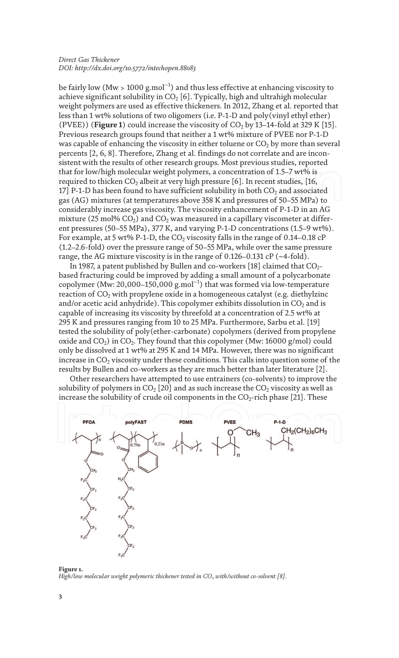be fairly low (Mw > 1000 g.mol $^{-1}$ ) and thus less effective at enhancing viscosity to achieve significant solubility in  $CO<sub>2</sub>$  [6]. Typically, high and ultrahigh molecular weight polymers are used as effective thickeners. In 2012, Zhang et al. reported that less than 1 wt% solutions of two oligomers (i.e. P-1-D and poly(vinyl ethyl ether) (PVEE)) (**Figure 1**) could increase the viscosity of  $CO<sub>2</sub>$  by 13–14-fold at 329 K [15]. Previous research groups found that neither a 1 wt% mixture of PVEE nor P-1-D was capable of enhancing the viscosity in either toluene or  $CO<sub>2</sub>$  by more than several percents [2, 6, 8]. Therefore, Zhang et al. findings do not correlate and are inconsistent with the results of other research groups. Most previous studies, reported that for low/high molecular weight polymers, a concentration of 1.5–7 wt% is required to thicken  $CO<sub>2</sub>$  albeit at very high pressure [6]. In recent studies, [16, 17] P-1-D has been found to have sufficient solubility in both  $CO<sub>2</sub>$  and associated gas (AG) mixtures (at temperatures above 358 K and pressures of 50–55 MPa) to considerably increase gas viscosity. The viscosity enhancement of P-1-D in an AG mixture (25 mol%  $CO<sub>2</sub>$ ) and  $CO<sub>2</sub>$  was measured in a capillary viscometer at different pressures (50–55 MPa), 377 K, and varying P-1-D concentrations (1.5–9 wt%). For example, at 5 wt% P-1-D, the  $CO<sub>2</sub>$  viscosity falls in the range of 0.14–0.18 cP (1.2–2.6-fold) over the pressure range of 50–55 MPa, while over the same pressure range, the AG mixture viscosity is in the range of 0.126–0.131 cP (~4-fold).

In 1987, a patent published by Bullen and co-workers [18] claimed that  $CO<sub>2</sub>$ based fracturing could be improved by adding a small amount of a polycarbonate copolymer (Mw: 20,000–150,000 g.mol $^{-1}$ ) that was formed via low-temperature reaction of  $CO<sub>2</sub>$  with propylene oxide in a homogeneous catalyst (e.g. diethylzinc and/or acetic acid anhydride). This copolymer exhibits dissolution in  $CO<sub>2</sub>$  and is capable of increasing its viscosity by threefold at a concentration of 2.5 wt% at 295 K and pressures ranging from 10 to 25 MPa. Furthermore, Sarbu et al. [19] tested the solubility of poly(ether-carbonate) copolymers (derived from propylene oxide and  $CO<sub>2</sub>$ ) in  $CO<sub>2</sub>$ . They found that this copolymer (Mw: 16000 g/mol) could only be dissolved at 1 wt% at 295 K and 14 MPa. However, there was no significant increase in  $CO<sub>2</sub>$  viscosity under these conditions. This calls into question some of the results by Bullen and co-workers as they are much better than later literature [2].

Other researchers have attempted to use entrainers (co-solvents) to improve the solubility of polymers in  $CO<sub>2</sub>$  [20] and as such increase the  $CO<sub>2</sub>$  viscosity as well as increase the solubility of crude oil components in the  $CO<sub>2</sub>$ -rich phase [21]. These



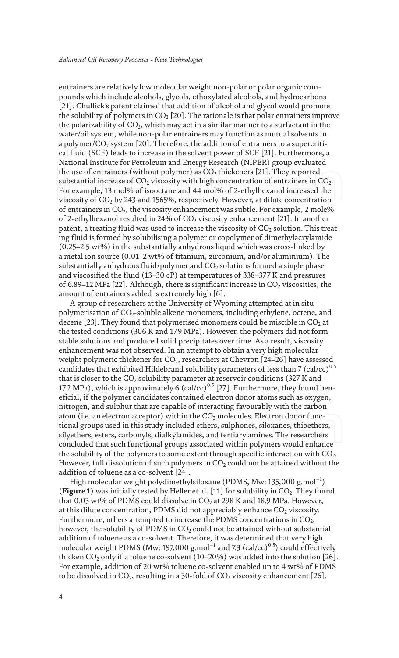entrainers are relatively low molecular weight non-polar or polar organic compounds which include alcohols, glycols, ethoxylated alcohols, and hydrocarbons [21]. Chullick's patent claimed that addition of alcohol and glycol would promote the solubility of polymers in  $CO<sub>2</sub>$  [20]. The rationale is that polar entrainers improve the polarizability of  $CO<sub>2</sub>$ , which may act in a similar manner to a surfactant in the water/oil system, while non-polar entrainers may function as mutual solvents in a polymer/ $CO<sub>2</sub>$  system [20]. Therefore, the addition of entrainers to a supercritical fluid (SCF) leads to increase in the solvent power of SCF [21]. Furthermore, a National Institute for Petroleum and Energy Research (NIPER) group evaluated the use of entrainers (without polymer) as  $CO<sub>2</sub>$  thickeners [21]. They reported substantial increase of  $CO<sub>2</sub>$  viscosity with high concentration of entrainers in  $CO<sub>2</sub>$ . For example, 13 mol% of isooctane and 44 mol% of 2-ethylhexanol increased the viscosity of  $CO<sub>2</sub>$  by 243 and 1565%, respectively. However, at dilute concentration of entrainers in  $CO<sub>2</sub>$ , the viscosity enhancement was subtle. For example, 2 mole% of 2-ethylhexanol resulted in 24% of  $CO<sub>2</sub>$  viscosity enhancement [21]. In another patent, a treating fluid was used to increase the viscosity of  $CO<sub>2</sub>$  solution. This treating fluid is formed by solubilising a polymer or copolymer of dimethylacrylamide (0.25–2.5 wt%) in the substantially anhydrous liquid which was cross-linked by a metal ion source (0.01–2 wt% of titanium, zirconium, and/or aluminium). The substantially anhydrous fluid/polymer and  $CO<sub>2</sub>$  solutions formed a single phase and viscosified the fluid (13–30 cP) at temperatures of 338–377 K and pressures of 6.89–12 MPa [22]. Although, there is significant increase in  $CO<sub>2</sub>$  viscosities, the amount of entrainers added is extremely high [6].

A group of researchers at the University of Wyoming attempted at in situ polymerisation of CO<sub>2</sub>-soluble alkene monomers, including ethylene, octene, and decene [23]. They found that polymerised monomers could be miscible in  $CO<sub>2</sub>$  at the tested conditions (306 K and 17.9 MPa). However, the polymers did not form stable solutions and produced solid precipitates over time. As a result, viscosity enhancement was not observed. In an attempt to obtain a very high molecular weight polymeric thickener for  $CO<sub>2</sub>$ , researchers at Chevron [24–26] have assessed candidates that exhibited Hildebrand solubility parameters of less than 7 (cal/cc)<sup>0.5</sup> that is closer to the  $CO<sub>2</sub>$  solubility parameter at reservoir conditions (327 K and 17.2 MPa), which is approximately 6 (cal/cc)<sup>0.5</sup> [27]. Furthermore, they found beneficial, if the polymer candidates contained electron donor atoms such as oxygen, nitrogen, and sulphur that are capable of interacting favourably with the carbon atom (i.e. an electron acceptor) within the  $CO<sub>2</sub>$  molecules. Electron donor functional groups used in this study included ethers, sulphones, siloxanes, thioethers, silyethers, esters, carbonyls, dialkylamides, and tertiary amines. The researchers concluded that such functional groups associated within polymers would enhance the solubility of the polymers to some extent through specific interaction with  $CO<sub>2</sub>$ . However, full dissolution of such polymers in  $CO<sub>2</sub>$  could not be attained without the addition of toluene as a co-solvent [24].

High molecular weight polydimethylsiloxane (PDMS, Mw: 135,000 g.mol $^{-1})$ (**Figure 1**) was initially tested by Heller et al. [11] for solubility in  $CO<sub>2</sub>$ . They found that 0.03 wt% of PDMS could dissolve in  $CO<sub>2</sub>$  at 298 K and 18.9 MPa. However, at this dilute concentration, PDMS did not appreciably enhance  $CO<sub>2</sub>$  viscosity. Furthermore, others attempted to increase the PDMS concentrations in  $CO<sub>2</sub>$ ; however, the solubility of PDMS in  $CO<sub>2</sub>$  could not be attained without substantial addition of toluene as a co-solvent. Therefore, it was determined that very high molecular weight PDMS (Mw: 197,000 g.mol<sup>-1</sup> and 7.3 (cal/cc)<sup>0.5</sup>) could effectively thicken  $CO_2$  only if a toluene co-solvent (10–20%) was added into the solution [26]. For example, addition of 20 wt% toluene co-solvent enabled up to 4 wt% of PDMS to be dissolved in  $CO_2$ , resulting in a 30-fold of  $CO_2$  viscosity enhancement [26].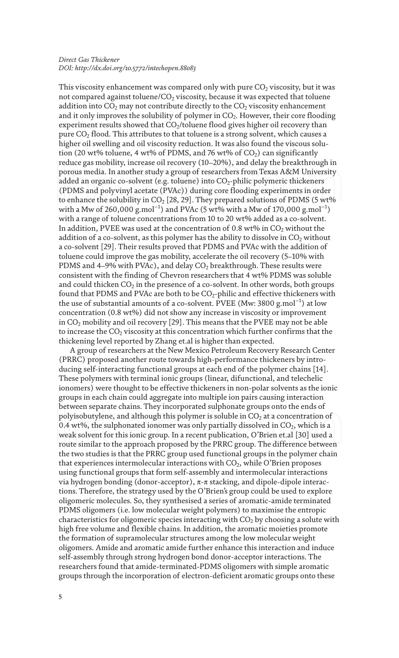This viscosity enhancement was compared only with pure  $CO<sub>2</sub>$  viscosity, but it was not compared against toluene/ $CO<sub>2</sub>$  viscosity, because it was expected that toluene addition into  $CO<sub>2</sub>$  may not contribute directly to the  $CO<sub>2</sub>$  viscosity enhancement and it only improves the solubility of polymer in  $CO<sub>2</sub>$ . However, their core flooding experiment results showed that  $CO<sub>2</sub>/toluene$  flood gives higher oil recovery than pure  $CO<sub>2</sub>$  flood. This attributes to that toluene is a strong solvent, which causes a higher oil swelling and oil viscosity reduction. It was also found the viscous solution (20 wt% toluene, 4 wt% of PDMS, and 76 wt% of  $CO<sub>2</sub>$ ) can significantly reduce gas mobility, increase oil recovery (10–20%), and delay the breakthrough in porous media. In another study a group of researchers from Texas A&M University added an organic co-solvent (e.g. toluene) into  $CO<sub>2</sub>$ -philic polymeric thickeners (PDMS and polyvinyl acetate (PVAc)) during core flooding experiments in order to enhance the solubility in  $CO<sub>2</sub>$  [28, 29]. They prepared solutions of PDMS (5 wt% with a Mw of 260,000 g.mol $^{-1}$ ) and PVAc (5 wt% with a Mw of 170,000 g.mol $^{-1})$ with a range of toluene concentrations from 10 to 20 wt% added as a co-solvent. In addition, PVEE was used at the concentration of 0.8 wt% in  $CO<sub>2</sub>$  without the addition of a co-solvent, as this polymer has the ability to dissolve in  $CO<sub>2</sub>$  without a co-solvent [29]. Their results proved that PDMS and PVAc with the addition of toluene could improve the gas mobility, accelerate the oil recovery (5–10% with PDMS and 4–9% with PVAc), and delay  $CO<sub>2</sub>$  breakthrough. These results were consistent with the finding of Chevron researchers that 4 wt% PDMS was soluble and could thicken  $CO<sub>2</sub>$  in the presence of a co-solvent. In other words, both groups found that PDMS and PVAc are both to be  $CO_2$ -philic and effective thickeners with the use of substantial amounts of a co-solvent. PVEE (Mw: 3800 g.mol $^{-1}$ ) at low concentration (0.8 wt%) did not show any increase in viscosity or improvement in  $CO<sub>2</sub>$  mobility and oil recovery [29]. This means that the PVEE may not be able to increase the  $CO<sub>2</sub>$  viscosity at this concentration which further confirms that the thickening level reported by Zhang et.al is higher than expected.

A group of researchers at the New Mexico Petroleum Recovery Research Center (PRRC) proposed another route towards high-performance thickeners by introducing self-interacting functional groups at each end of the polymer chains [14]. These polymers with terminal ionic groups (linear, difunctional, and telechelic ionomers) were thought to be effective thickeners in non-polar solvents as the ionic groups in each chain could aggregate into multiple ion pairs causing interaction between separate chains. They incorporated sulphonate groups onto the ends of polyisobutylene, and although this polymer is soluble in  $CO<sub>2</sub>$  at a concentration of 0.4 wt%, the sulphonated ionomer was only partially dissolved in  $CO<sub>2</sub>$ , which is a weak solvent for this ionic group. In a recent publication, O'Brien et.al [30] used a route similar to the approach proposed by the PRRC group. The difference between the two studies is that the PRRC group used functional groups in the polymer chain that experiences intermolecular interactions with  $CO<sub>2</sub>$ , while O'Brien proposes using functional groups that form self-assembly and intermolecular interactions via hydrogen bonding (donor-acceptor), π-π stacking, and dipole-dipole interactions. Therefore, the strategy used by the O'Brien's group could be used to explore oligomeric molecules. So, they synthesised a series of aromatic-amide terminated PDMS oligomers (i.e. low molecular weight polymers) to maximise the entropic characteristics for oligomeric species interacting with  $CO<sub>2</sub>$  by choosing a solute with high free volume and flexible chains. In addition, the aromatic moieties promote the formation of supramolecular structures among the low molecular weight oligomers. Amide and aromatic amide further enhance this interaction and induce self-assembly through strong hydrogen bond donor-acceptor interactions. The researchers found that amide-terminated-PDMS oligomers with simple aromatic groups through the incorporation of electron-deficient aromatic groups onto these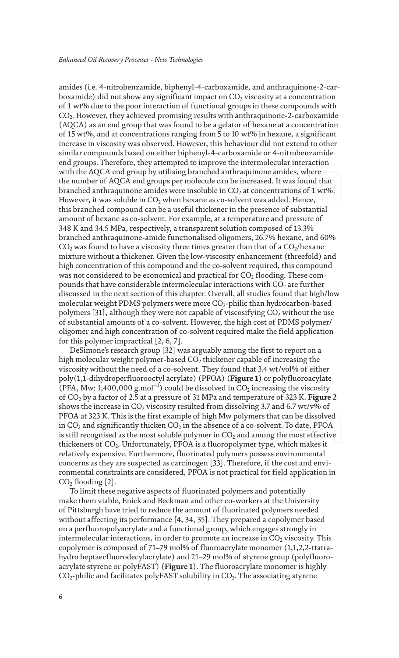amides (i.e. 4-nitrobenzamide, biphenyl-4-carboxamide, and anthraquinone-2-carboxamide) did not show any significant impact on  $CO<sub>2</sub>$  viscosity at a concentration of 1 wt% due to the poor interaction of functional groups in these compounds with  $CO<sub>2</sub>$ . However, they achieved promising results with anthraquinone-2-carboxamide (AQCA) as an end group that was found to be a gelator of hexane at a concentration of 15 wt%, and at concentrations ranging from 5 to 10 wt% in hexane, a significant increase in viscosity was observed. However, this behaviour did not extend to other similar compounds based on either biphenyl-4-carboxamide or 4-nitrobenzamide end groups. Therefore, they attempted to improve the intermolecular interaction with the AQCA end group by utilising branched anthraquinone amides, where the number of AQCA end groups per molecule can be increased. It was found that branched anthraquinone amides were insoluble in  $CO<sub>2</sub>$  at concentrations of 1 wt%. However, it was soluble in  $CO<sub>2</sub>$  when hexane as co-solvent was added. Hence, this branched compound can be a useful thickener in the presence of substantial amount of hexane as co-solvent. For example, at a temperature and pressure of 348 K and 34.5 MPa, respectively, a transparent solution composed of 13.3% branched anthraquinone-amide functionalised oligomers, 26.7% hexane, and 60%  $CO<sub>2</sub>$  was found to have a viscosity three times greater than that of a  $CO<sub>2</sub>/$ hexane mixture without a thickener. Given the low-viscosity enhancement (threefold) and high concentration of this compound and the co-solvent required, this compound was not considered to be economical and practical for  $CO<sub>2</sub>$  flooding. These compounds that have considerable intermolecular interactions with  $CO<sub>2</sub>$  are further discussed in the next section of this chapter. Overall, all studies found that high/low molecular weight PDMS polymers were more  $CO_2$ -philic than hydrocarbon-based polymers [31], although they were not capable of viscosifying  $CO<sub>2</sub>$  without the use of substantial amounts of a co-solvent. However, the high cost of PDMS polymer/ oligomer and high concentration of co-solvent required make the field application for this polymer impractical [2, 6, 7].

DeSimone's research group [32] was arguably among the first to report on a high molecular weight polymer-based  $CO<sub>2</sub>$  thickener capable of increasing the viscosity without the need of a co-solvent. They found that 3.4 wt/vol% of either poly(1,1-dihydroperfluorooctyl acrylate) (PFOA) (**Figure 1**) or polyfluoroacylate (PFA, Mw: 1,400,000 g.mol<sup>-1</sup>) could be dissolved in  $CO_2$  increasing the viscosity of CO2 by a factor of 2.5 at a pressure of 31 MPa and temperature of 323 K. **Figure 2** shows the increase in  $CO_2$  viscosity resulted from dissolving 3.7 and 6.7 wt/v% of PFOA at 323 K. This is the first example of high Mw polymers that can be dissolved in  $CO<sub>2</sub>$  and significantly thicken  $CO<sub>2</sub>$  in the absence of a co-solvent. To date, PFOA is still recognised as the most soluble polymer in  $CO<sub>2</sub>$  and among the most effective thickeners of  $CO<sub>2</sub>$ . Unfortunately, PFOA is a fluoropolymer type, which makes it relatively expensive. Furthermore, fluorinated polymers possess environmental concerns as they are suspected as carcinogen [33]. Therefore, if the cost and environmental constraints are considered, PFOA is not practical for field application in  $CO<sub>2</sub>$  flooding [2].

To limit these negative aspects of fluorinated polymers and potentially make them viable, Enick and Beckman and other co-workers at the University of Pittsburgh have tried to reduce the amount of fluorinated polymers needed without affecting its performance [4, 34, 35]. They prepared a copolymer based on a perfluoropolyacrylate and a functional group, which engages strongly in intermolecular interactions, in order to promote an increase in  $CO<sub>2</sub>$  viscosity. This copolymer is composed of 71–79 mol% of fluoroacrylate monomer (1,1,2,2-ttatrahydro heptaecfluorodecylacrylate) and 21–29 mol% of styrene group (polyfluoroacrylate styrene or polyFAST) (**Figure 1**). The fluoroacrylate monomer is highly  $CO<sub>2</sub>$ -philic and facilitates polyFAST solubility in  $CO<sub>2</sub>$ . The associating styrene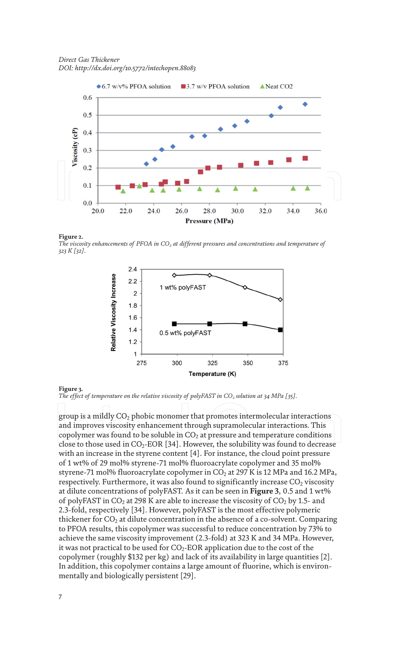

#### **Figure 2.**

The viscosity enhancements of PFOA in CO<sub>2</sub> at different pressures and concentrations and temperature of *323 K [32].*



**Figure 3.** *The effect of temperature on the relative viscosity of polyFAST in CO<sup>2</sup> solution at 34 MPa [35].*

group is a mildly  $CO<sub>2</sub>$  phobic monomer that promotes intermolecular interactions and improves viscosity enhancement through supramolecular interactions. This copolymer was found to be soluble in  $CO<sub>2</sub>$  at pressure and temperature conditions close to those used in  $CO_2$ -EOR [34]. However, the solubility was found to decrease with an increase in the styrene content [4]. For instance, the cloud point pressure of 1 wt% of 29 mol% styrene-71 mol% fluoroacrylate copolymer and 35 mol% styrene-71 mol% fluoroacrylate copolymer in  $CO<sub>2</sub>$  at 297 K is 12 MPa and 16.2 MPa, respectively. Furthermore, it was also found to significantly increase  $CO<sub>2</sub>$  viscosity at dilute concentrations of polyFAST. As it can be seen in **Figure 3**, 0.5 and 1 wt% of polyFAST in  $CO_2$  at 298 K are able to increase the viscosity of  $CO_2$  by 1.5- and 2.3-fold, respectively [34]. However, polyFAST is the most effective polymeric thickener for  $CO<sub>2</sub>$  at dilute concentration in the absence of a co-solvent. Comparing to PFOA results, this copolymer was successful to reduce concentration by 73% to achieve the same viscosity improvement (2.3-fold) at 323 K and 34 MPa. However, it was not practical to be used for  $CO<sub>2</sub>$ -EOR application due to the cost of the copolymer (roughly \$132 per kg) and lack of its availability in large quantities [2]. In addition, this copolymer contains a large amount of fluorine, which is environmentally and biologically persistent [29].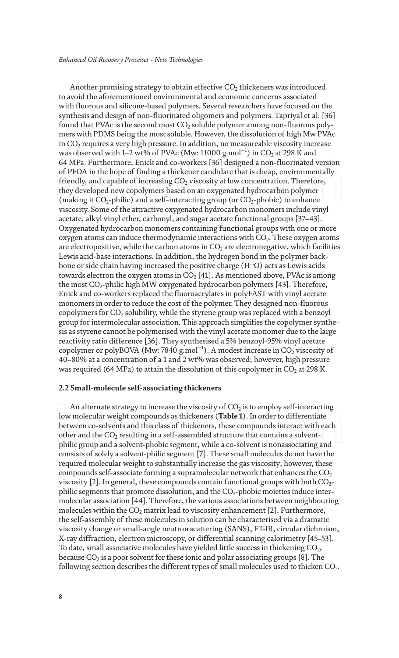Another promising strategy to obtain effective  $CO<sub>2</sub>$  thickeners was introduced to avoid the aforementioned environmental and economic concerns associated with fluorous and silicone-based polymers. Several researchers have focused on the synthesis and design of non-fluorinated oligomers and polymers. Tapriyal et al. [36] found that PVAc is the second most  $CO<sub>2</sub>$  soluble polymer among non-fluorous polymers with PDMS being the most soluble. However, the dissolution of high Mw PVAc in  $CO<sub>2</sub>$  requires a very high pressure. In addition, no measureable viscosity increase was observed with 1–2 wt% of PVAc (Mw: 11000 g.mol $^{-1}$ ) in CO<sub>2</sub> at 298 K and 64 MPa. Furthermore, Enick and co-workers [36] designed a non-fluorinated version of PFOA in the hope of finding a thickener candidate that is cheap, environmentally friendly, and capable of increasing  $CO<sub>2</sub>$  viscosity at low concentration. Therefore, they developed new copolymers based on an oxygenated hydrocarbon polymer (making it  $CO_2$ -philic) and a self-interacting group (or  $CO_2$ -phobic) to enhance viscosity. Some of the attractive oxygenated hydrocarbon monomers include vinyl acetate, alkyl vinyl ether, carbonyl, and sugar acetate functional groups [37–43]. Oxygenated hydrocarbon monomers containing functional groups with one or more oxygen atoms can induce thermodynamic interactions with  $CO<sub>2</sub>$ . These oxygen atoms are electropositive, while the carbon atoms in  $CO<sub>2</sub>$  are electronegative, which facilities Lewis acid-base interactions. In addition, the hydrogen bond in the polymer backbone or side chain having increased the positive charge (H…O) acts as Lewis acids towards electron the oxygen atoms in  $CO<sub>2</sub>$  [41]. As mentioned above, PVAc is among the most CO2-philic high MW oxygenated hydrocarbon polymers [43]. Therefore, Enick and co-workers replaced the fluoroacrylates in polyFAST with vinyl acetate monomers in order to reduce the cost of the polymer. They designed non-fluorous copolymers for  $CO<sub>2</sub>$  solubility, while the styrene group was replaced with a benzoyl group for intermolecular association. This approach simplifies the copolymer synthesis as styrene cannot be polymerised with the vinyl acetate monomer due to the large reactivity ratio difference [36]. They synthesised a 5% benzoyl-95% vinyl acetate copolymer or polyBOVA (Mw: 7840 g.mol $^{-1}$ ). A modest increase in CO<sub>2</sub> viscosity of 40–80% at a concentration of a 1 and 2 wt% was observed; however, high pressure was required (64 MPa) to attain the dissolution of this copolymer in  $CO<sub>2</sub>$  at 298 K.

#### **2.2 Small-molecule self-associating thickeners**

An alternate strategy to increase the viscosity of  $CO<sub>2</sub>$  is to employ self-interacting low molecular weight compounds as thickeners (**Table 1**). In order to differentiate between co-solvents and this class of thickeners, these compounds interact with each other and the  $CO<sub>2</sub>$  resulting in a self-assembled structure that contains a solventphilic group and a solvent-phobic segment, while a co-solvent is nonassociating and consists of solely a solvent-philic segment [7]. These small molecules do not have the required molecular weight to substantially increase the gas viscosity; however, these compounds self-associate forming a supramolecular network that enhances the  $CO<sub>2</sub>$ viscosity [2]. In general, these compounds contain functional groups with both  $CO<sub>2</sub>$ philic segments that promote dissolution, and the  $CO<sub>2</sub>$ -phobic moieties induce intermolecular association [44]. Therefore, the various associations between neighbouring molecules within the  $CO<sub>2</sub>$  matrix lead to viscosity enhancement [2]. Furthermore, the self-assembly of these molecules in solution can be characterised via a dramatic viscosity change or small-angle neutron scattering (SANS), FT-IR, circular dichroism, X-ray diffraction, electron microscopy, or differential scanning calorimetry [45–53]. To date, small associative molecules have yielded little success in thickening  $CO<sub>2</sub>$ , because  $CO<sub>2</sub>$  is a poor solvent for these ionic and polar associating groups [8]. The following section describes the different types of small molecules used to thicken  $CO<sub>2</sub>$ .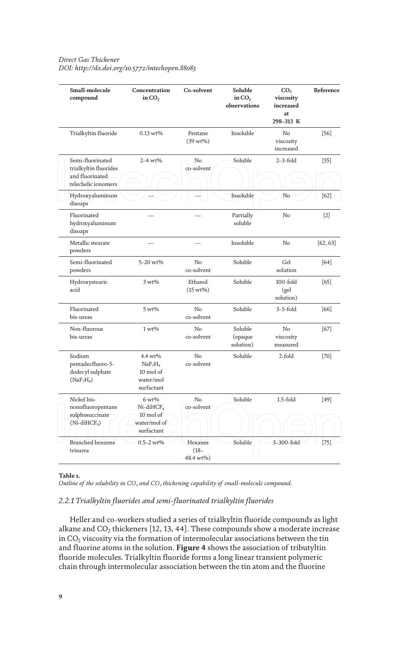| Small-molecule<br>compound                                                            | Concentration<br>in $CO2$                                                          | Co-solvent                      | Soluble<br>in $CO2$<br>observations | CO <sub>2</sub><br>viscosity<br>increased<br>at<br>298-313 K | Reference |
|---------------------------------------------------------------------------------------|------------------------------------------------------------------------------------|---------------------------------|-------------------------------------|--------------------------------------------------------------|-----------|
| Trialkyltin fluoride                                                                  | $0.13 wt\%$                                                                        | Pentane<br>$(39 wt\%)$          | Insoluble                           | No<br>viscosity<br>increased                                 | $[56]$    |
| Semi-fluorinated<br>trialkyltin fluorides<br>and fluorinated<br>telechelic ionomers   | $2 - 4 wt\%$                                                                       | N <sub>o</sub><br>co-solvent    | Soluble                             | $2-3$ -fold                                                  | $[55]$    |
| Hydroxyaluminum<br>disoaps                                                            |                                                                                    |                                 | Insoluble                           | N <sub>o</sub>                                               | $[62]$    |
| Fluorinated<br>hydroxyaluminum<br>disoaps                                             |                                                                                    |                                 | Partially<br>soluble                | No                                                           | $[2]$     |
| Metallic stearate<br>powders                                                          |                                                                                    |                                 | Insoluble                           | N <sub>o</sub>                                               | [62, 63]  |
| Semi-fluorinated<br>powders                                                           | 5-20 wt%                                                                           | No<br>co-solvent                | Soluble                             | Gel<br>solution                                              | $[64]$    |
| Hydroxystearic<br>acid                                                                | $3 wt\%$                                                                           | Ethanol<br>$(15 wt\%)$          | Soluble                             | $100$ -fold<br>(gel<br>solution)                             | [65]      |
| Fluorinated<br>bis-ureas                                                              | $5 wt\%$                                                                           | N <sub>o</sub><br>co-solvent    | Soluble                             | $3-5$ -fold                                                  | $[66]$    |
| Non-fluorous<br>bis-ureas                                                             | $1 wt\%$                                                                           | No<br>co-solvent                | Soluble<br>(opaque<br>solution)     | No<br>viscosity<br>measured                                  | $[67]$    |
| Sodium<br>pentadecfluoro-5-<br>dodecyl sulphate<br>(NaF <sub>7</sub> H <sub>4</sub> ) | 4.4 wt%<br>NaF <sub>7</sub> H <sub>4</sub><br>10 mol of<br>water/mol<br>surfactant | N <sub>o</sub><br>co-solvent    | Soluble                             | 2-fold                                                       | $[70]$    |
| Nickel bis-<br>nonofluoropentane<br>sulphosuccinate<br>$(Ni$ -diHCF <sub>4</sub> )    | $6 wt\%$<br>$Ni$ -diHC $F_4$<br>10 mol of<br>water/mol of<br>surfactant            | No<br>co-solvent                | Soluble                             | $1.5$ -fold                                                  | $[49]$    |
| <b>Branched benzene</b><br>trisurea                                                   | $0.5 - 2 wt\%$                                                                     | Hexanes<br>$(18 -$<br>48.4 wt%) | Soluble                             | 3-300-fold                                                   | $[75]$    |

**Table 1.**

*Outline of the solubility in CO<sup>2</sup> and CO<sup>2</sup> thickening capability of small-molecule compound.*

#### *2.2.1 Trialkyltin fluorides and semi-fluorinated trialkyltin fluorides*

Heller and co-workers studied a series of trialkyltin fluoride compounds as light alkane and  $CO<sub>2</sub>$  thickeners [12, 13, 44]. These compounds show a moderate increase in  $CO<sub>2</sub>$  viscosity via the formation of intermolecular associations between the tin and fluorine atoms in the solution. **Figure 4** shows the association of tributyltin fluoride molecules. Trialkyltin fluoride forms a long linear transient polymeric chain through intermolecular association between the tin atom and the fluorine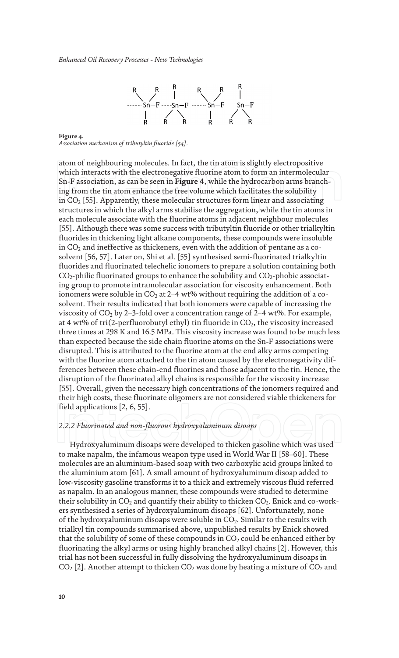

**Figure 4.** *Association mechanism of tributyltin fluoride [54].*

atom of neighbouring molecules. In fact, the tin atom is slightly electropositive which interacts with the electronegative fluorine atom to form an intermolecular Sn-F association, as can be seen in **Figure 4**, while the hydrocarbon arms branching from the tin atom enhance the free volume which facilitates the solubility in  $CO<sub>2</sub>$  [55]. Apparently, these molecular structures form linear and associating structures in which the alkyl arms stabilise the aggregation, while the tin atoms in each molecule associate with the fluorine atoms in adjacent neighbour molecules [55]. Although there was some success with tributyltin fluoride or other trialkyltin fluorides in thickening light alkane components, these compounds were insoluble in  $CO<sub>2</sub>$  and ineffective as thickeners, even with the addition of pentane as a cosolvent [56, 57]. Later on, Shi et al. [55] synthesised semi-fluorinated trialkyltin fluorides and fluorinated telechelic ionomers to prepare a solution containing both  $CO_2$ -philic fluorinated groups to enhance the solubility and  $CO_2$ -phobic associating group to promote intramolecular association for viscosity enhancement. Both ionomers were soluble in  $CO<sub>2</sub>$  at 2–4 wt% without requiring the addition of a cosolvent. Their results indicated that both ionomers were capable of increasing the viscosity of  $CO<sub>2</sub>$  by 2–3-fold over a concentration range of 2–4 wt%. For example, at 4 wt% of tri(2-perfluorobutyl ethyl) tin fluoride in  $CO<sub>2</sub>$ , the viscosity increased three times at 298 K and 16.5 MPa. This viscosity increase was found to be much less than expected because the side chain fluorine atoms on the Sn-F associations were disrupted. This is attributed to the fluorine atom at the end alky arms competing with the fluorine atom attached to the tin atom caused by the electronegativity differences between these chain-end fluorines and those adjacent to the tin. Hence, the disruption of the fluorinated alkyl chains is responsible for the viscosity increase [55]. Overall, given the necessary high concentrations of the ionomers required and their high costs, these fluorinate oligomers are not considered viable thickeners for field applications [2, 6, 55].

#### *2.2.2 Fluorinated and non-fluorous hydroxyaluminum disoaps*

Hydroxyaluminum disoaps were developed to thicken gasoline which was used to make napalm, the infamous weapon type used in World War II [58–60]. These molecules are an aluminium-based soap with two carboxylic acid groups linked to the aluminium atom [61]. A small amount of hydroxyaluminum disoap added to low-viscosity gasoline transforms it to a thick and extremely viscous fluid referred as napalm. In an analogous manner, these compounds were studied to determine their solubility in  $CO_2$  and quantify their ability to thicken  $CO_2$ . Enick and co-workers synthesised a series of hydroxyaluminum disoaps [62]. Unfortunately, none of the hydroxyaluminum disoaps were soluble in  $CO<sub>2</sub>$ . Similar to the results with trialkyl tin compounds summarised above, unpublished results by Enick showed that the solubility of some of these compounds in  $CO<sub>2</sub>$  could be enhanced either by fluorinating the alkyl arms or using highly branched alkyl chains [2]. However, this trial has not been successful in fully dissolving the hydroxyaluminum disoaps in  $CO<sub>2</sub>$  [2]. Another attempt to thicken  $CO<sub>2</sub>$  was done by heating a mixture of  $CO<sub>2</sub>$  and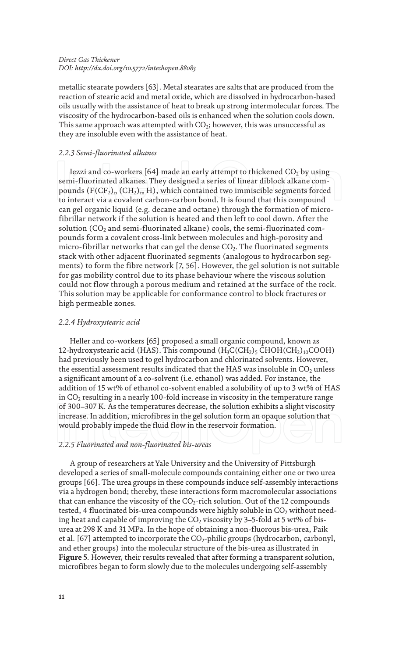metallic stearate powders [63]. Metal stearates are salts that are produced from the reaction of stearic acid and metal oxide, which are dissolved in hydrocarbon-based oils usually with the assistance of heat to break up strong intermolecular forces. The viscosity of the hydrocarbon-based oils is enhanced when the solution cools down. This same approach was attempted with  $CO_2$ ; however, this was unsuccessful as they are insoluble even with the assistance of heat.

#### *2.2.3 Semi-fluorinated alkanes*

Iezzi and co-workers [64] made an early attempt to thickened  $CO<sub>2</sub>$  by using semi-fluorinated alkanes. They designed a series of linear diblock alkane compounds  $(F(CF_2)_n (CH_2)_m H)$ , which contained two immiscible segments forced to interact via a covalent carbon-carbon bond. It is found that this compound can gel organic liquid (e.g. decane and octane) through the formation of microfibrillar network if the solution is heated and then left to cool down. After the solution  $(CO<sub>2</sub>$  and semi-fluorinated alkane) cools, the semi-fluorinated compounds form a covalent cross-link between molecules and high-porosity and micro-fibrillar networks that can gel the dense  $CO<sub>2</sub>$ . The fluorinated segments stack with other adjacent fluorinated segments (analogous to hydrocarbon segments) to form the fibre network [7, 56]. However, the gel solution is not suitable for gas mobility control due to its phase behaviour where the viscous solution could not flow through a porous medium and retained at the surface of the rock. This solution may be applicable for conformance control to block fractures or high permeable zones.

#### *2.2.4 Hydroxystearic acid*

Heller and co-workers [65] proposed a small organic compound, known as 12-hydroxystearic acid (HAS). This compound  $(\rm{H_3C(CH_2)_5}$  CHOH(CH<sub>2</sub>)<sub>10</sub>COOH) had previously been used to gel hydrocarbon and chlorinated solvents. However, the essential assessment results indicated that the HAS was insoluble in  $CO<sub>2</sub>$  unless a significant amount of a co-solvent (i.e. ethanol) was added. For instance, the addition of 15 wt% of ethanol co-solvent enabled a solubility of up to 3 wt% of HAS in  $CO<sub>2</sub>$  resulting in a nearly 100-fold increase in viscosity in the temperature range of 300–307 K. As the temperatures decrease, the solution exhibits a slight viscosity increase. In addition, microfibres in the gel solution form an opaque solution that would probably impede the fluid flow in the reservoir formation.

#### *2.2.5 Fluorinated and non-fluorinated bis-ureas*

A group of researchers at Yale University and the University of Pittsburgh developed a series of small-molecule compounds containing either one or two urea groups [66]. The urea groups in these compounds induce self-assembly interactions via a hydrogen bond; thereby, these interactions form macromolecular associations that can enhance the viscosity of the  $CO<sub>2</sub>$ -rich solution. Out of the 12 compounds tested, 4 fluorinated bis-urea compounds were highly soluble in  $CO<sub>2</sub>$  without needing heat and capable of improving the  $CO<sub>2</sub>$  viscosity by 3–5-fold at 5 wt% of bisurea at 298 K and 31 MPa. In the hope of obtaining a non-fluorous bis-urea, Paik et al. [67] attempted to incorporate the  $CO_2$ -philic groups (hydrocarbon, carbonyl, and ether groups) into the molecular structure of the bis-urea as illustrated in **Figure 5**. However, their results revealed that after forming a transparent solution, microfibres began to form slowly due to the molecules undergoing self-assembly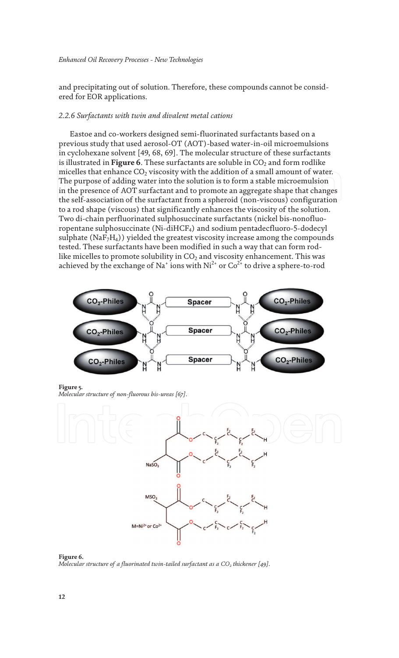and precipitating out of solution. Therefore, these compounds cannot be considered for EOR applications.

#### *2.2.6 Surfactants with twin and divalent metal cations*

Eastoe and co-workers designed semi-fluorinated surfactants based on a previous study that used aerosol-OT (AOT)-based water-in-oil microemulsions in cyclohexane solvent [49, 68, 69]. The molecular structure of these surfactants is illustrated in **Figure 6**. These surfactants are soluble in CO<sub>2</sub> and form rodlike micelles that enhance  $CO<sub>2</sub>$  viscosity with the addition of a small amount of water. The purpose of adding water into the solution is to form a stable microemulsion in the presence of AOT surfactant and to promote an aggregate shape that changes the self-association of the surfactant from a spheroid (non-viscous) configuration to a rod shape (viscous) that significantly enhances the viscosity of the solution. Two di-chain perfluorinated sulphosuccinate surfactants (nickel bis-nonofluoropentane sulphosuccinate (Ni-diHCF4) and sodium pentadecfluoro-5-dodecyl sulphate (Na $F_7H_4$ )) yielded the greatest viscosity increase among the compounds tested. These surfactants have been modified in such a way that can form rodlike micelles to promote solubility in  $CO<sub>2</sub>$  and viscosity enhancement. This was achieved by the exchange of Na $^{\circ}$  ions with Ni $^{2+}$  or Co $^{2+}$  to drive a sphere-to-rod



**Figure 5.** *Molecular structure of non-fluorous bis-ureas [67].*



**Figure 6.** *Molecular structure of a fluorinated twin-tailed surfactant as a CO<sup>2</sup> thickener [49].*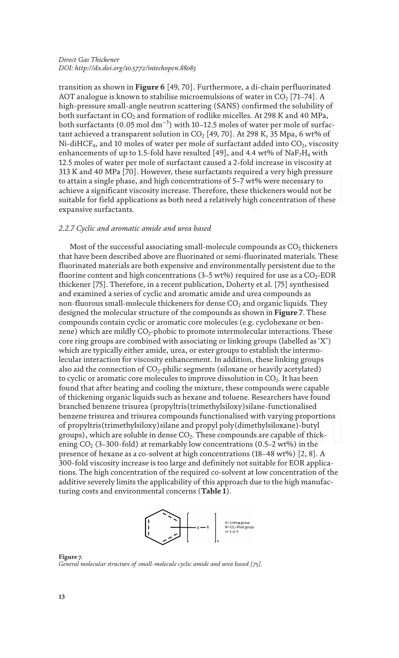transition as shown in **Figure 6** [49, 70]. Furthermore, a di-chain perfluorinated AOT analogue is known to stabilise microemulsions of water in  $CO<sub>2</sub>$  [71–74]. A high-pressure small-angle neutron scattering (SANS) confirmed the solubility of both surfactant in  $CO<sub>2</sub>$  and formation of rodlike micelles. At 298 K and 40 MPa, both surfactants (0.05 mol  $\rm{dm^{-3}}$ ) with 10–12.5 moles of water per mole of surfactant achieved a transparent solution in  $CO<sub>2</sub>$  [49, 70]. At 298 K, 35 Mpa, 6 wt% of Ni-diHCF<sub>4</sub>, and 10 moles of water per mole of surfactant added into  $CO<sub>2</sub>$ , viscosity enhancements of up to 1.5-fold have resulted [49], and 4.4 wt% of NaF<sub>7</sub>H<sub>4</sub> with 12.5 moles of water per mole of surfactant caused a 2-fold increase in viscosity at 313 K and 40 MPa [70]. However, these surfactants required a very high pressure to attain a single phase, and high concentrations of 5–7 wt% were necessary to achieve a significant viscosity increase. Therefore, these thickeners would not be suitable for field applications as both need a relatively high concentration of these expansive surfactants.

#### *2.2.7 Cyclic and aromatic amide and urea based*

Most of the successful associating small-molecule compounds as  $CO<sub>2</sub>$  thickeners that have been described above are fluorinated or semi-fluorinated materials. These fluorinated materials are both expensive and environmentally persistent due to the fluorine content and high concentrations (3–5 wt%) required for use as a  $CO_2$ -EOR thickener [75]. Therefore, in a recent publication, Doherty et al. [75] synthesised and examined a series of cyclic and aromatic amide and urea compounds as non-fluorous small-molecule thickeners for dense  $CO<sub>2</sub>$  and organic liquids. They designed the molecular structure of the compounds as shown in **Figure 7**. These compounds contain cyclic or aromatic core molecules (e.g. cyclohexane or benzene) which are mildly  $CO_2$ -phobic to promote intermolecular interactions. These core ring groups are combined with associating or linking groups (labelled as 'X') which are typically either amide, urea, or ester groups to establish the intermolecular interaction for viscosity enhancement. In addition, these linking groups also aid the connection of  $CO<sub>2</sub>$ -philic segments (siloxane or heavily acetylated) to cyclic or aromatic core molecules to improve dissolution in  $CO<sub>2</sub>$ . It has been found that after heating and cooling the mixture, these compounds were capable of thickening organic liquids such as hexane and toluene. Researchers have found branched benzene trisurea (propyltris(trimethylsiloxy)silane-functionalised benzene trisurea and trisurea compounds functionalised with varying proportions of propyltris(trimethylsiloxy)silane and propyl poly(dimethylsiloxane)-butyl groups), which are soluble in dense  $CO<sub>2</sub>$ . These compounds are capable of thickening  $CO_2$  (3–300-fold) at remarkably low concentrations (0.5–2 wt%) in the presence of hexane as a co-solvent at high concentrations  $(18-48 \text{ wt\%})$  [2, 8]. A 300-fold viscosity increase is too large and definitely not suitable for EOR applications. The high concentration of the required co-solvent at low concentration of the additive severely limits the applicability of this approach due to the high manufacturing costs and environmental concerns (**Table 1**).



**Figure 7.** *General molecular structure of small-molecule cyclic amide and urea based [75].*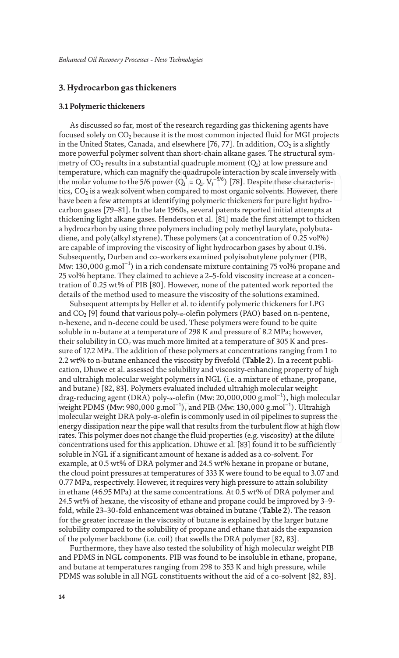#### **3. Hydrocarbon gas thickeners**

#### **3.1 Polymeric thickeners**

As discussed so far, most of the research regarding gas thickening agents have focused solely on  $CO<sub>2</sub>$  because it is the most common injected fluid for MGI projects in the United States, Canada, and elsewhere [76, 77]. In addition,  $CO<sub>2</sub>$  is a slightly more powerful polymer solvent than short-chain alkane gases. The structural symmetry of  $CO_2$  results in a substantial quadruple moment  $(Q_i)$  at low pressure and temperature, which can magnify the quadrupole interaction by scale inversely with the molar volume to the 5/6 power ( $Q_i^* = Q_i$ .  $V_i^{-5/6}$ ) [78]. Despite these characteristics,  $CO<sub>2</sub>$  is a weak solvent when compared to most organic solvents. However, there have been a few attempts at identifying polymeric thickeners for pure light hydrocarbon gases [79–81]. In the late 1960s, several patents reported initial attempts at thickening light alkane gases. Henderson et al. [81] made the first attempt to thicken a hydrocarbon by using three polymers including poly methyl laurylate, polybutadiene, and poly(alkyl styrene). These polymers (at a concentration of 0.25 vol%) are capable of improving the viscosity of light hydrocarbon gases by about 0.1%. Subsequently, Durben and co-workers examined polyisobutylene polymer (PIB, Mw: 130,000 g.mol<sup>−1</sup>) in a rich condensate mixture containing 75 vol% propane and 25 vol% heptane. They claimed to achieve a 2–5-fold viscosity increase at a concentration of 0.25 wt% of PIB [80]. However, none of the patented work reported the details of the method used to measure the viscosity of the solutions examined.

Subsequent attempts by Heller et al. to identify polymeric thickeners for LPG and  $CO_2$  [9] found that various poly- $\alpha$ -olefin polymers (PAO) based on n-pentene, n-hexene, and n-decene could be used. These polymers were found to be quite soluble in n-butane at a temperature of 298 K and pressure of 8.2 MPa; however, their solubility in  $CO<sub>2</sub>$  was much more limited at a temperature of 305 K and pressure of 17.2 MPa. The addition of these polymers at concentrations ranging from 1 to 2.2 wt% to n-butane enhanced the viscosity by fivefold (**Table 2**). In a recent publication, Dhuwe et al. assessed the solubility and viscosity-enhancing property of high and ultrahigh molecular weight polymers in NGL (i.e. a mixture of ethane, propane, and butane) [82, 83]. Polymers evaluated included ultrahigh molecular weight drag-reducing agent (DRA) poly-α-olefin (Mw: 20,000,000 g.mol<sup>−</sup><sup>1</sup> ), high molecular weight PDMS (Mw: 980,000 g.mol<sup>-1</sup>), and PIB (Mw: 130,000 g.mol<sup>-1</sup>). Ultrahigh molecular weight DRA poly-α-olefin is commonly used in oil pipelines to supress the energy dissipation near the pipe wall that results from the turbulent flow at high flow rates. This polymer does not change the fluid properties (e.g. viscosity) at the dilute concentrations used for this application. Dhuwe et al. [83] found it to be sufficiently soluble in NGL if a significant amount of hexane is added as a co-solvent. For example, at 0.5 wt% of DRA polymer and 24.5 wt% hexane in propane or butane, the cloud point pressures at temperatures of 333 K were found to be equal to 3.07 and 0.77 MPa, respectively. However, it requires very high pressure to attain solubility in ethane (46.95 MPa) at the same concentrations. At 0.5 wt% of DRA polymer and 24.5 wt% of hexane, the viscosity of ethane and propane could be improved by 3–9 fold, while 23–30-fold enhancement was obtained in butane (**Table 2**). The reason for the greater increase in the viscosity of butane is explained by the larger butane solubility compared to the solubility of propane and ethane that aids the expansion of the polymer backbone (i.e. coil) that swells the DRA polymer [82, 83].

Furthermore, they have also tested the solubility of high molecular weight PIB and PDMS in NGL components. PIB was found to be insoluble in ethane, propane, and butane at temperatures ranging from 298 to 353 K and high pressure, while PDMS was soluble in all NGL constituents without the aid of a co-solvent [82, 83].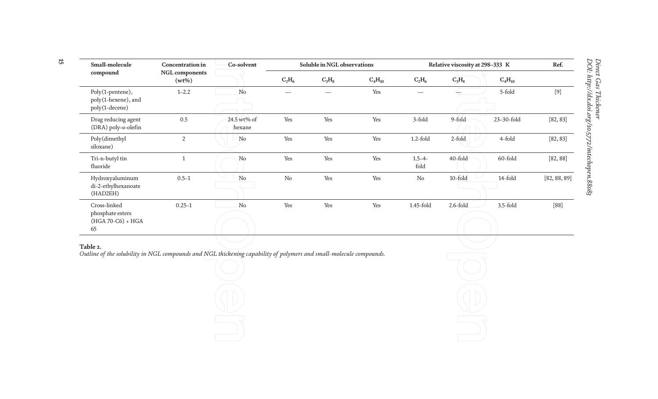| Small-molecule                                              | <b>Concentration</b> in           | Co-solvent            | Soluble in NGL observations |          | Relative viscosity at 298-333 K |                     |             | Ref.        |              |
|-------------------------------------------------------------|-----------------------------------|-----------------------|-----------------------------|----------|---------------------------------|---------------------|-------------|-------------|--------------|
| compound                                                    | <b>NGL</b> components<br>$(wt\%)$ |                       | $C_2H_6$                    | $C_3H_8$ | $C_4H_{10}$                     | $C_2H_6$            | $C_3H_8$    | $C_4H_{10}$ |              |
| Poly(1-pentene),<br>poly(1-hexene), and<br>poly(1-decene)   | $1 - 2.2$                         | No                    |                             |          | Yes                             |                     |             | 5-fold      | $[9]$        |
| Drag reducing agent<br>(DRA) poly- $\alpha$ -olefin         | 0.5                               | 24.5 wt% of<br>hexane | Yes                         | Yes      | Yes                             | 3-fold              | 9-fold      | 23-30-fold  | [82, 83]     |
| Poly(dimethyl<br>siloxane)                                  | $\overline{2}$                    | No                    | Yes                         | Yes      | Yes                             | $1.2$ -fold         | 2-fold      | 4-fold      | [82, 83]     |
| Tri-n-butyl tin<br>fluoride                                 |                                   | No                    | Yes                         | Yes      | Yes                             | $1.5 - 4 -$<br>fold | 40-fold     | 60-fold     | [82, 88]     |
| Hydroxyaluminum<br>di-2-ethylhexanoate<br>(HAD2EH)          | $0.5 - 1$                         | No                    | $\rm No$                    | Yes      | Yes                             | $\rm No$            | $10$ -fold  | 14-fold     | [82, 88, 89] |
| Cross-linked<br>phosphate esters<br>(HGA 70-C6) + HGA<br>65 | $0.25 - 1$                        | No                    | Yes                         | Yes      | Yes                             | 1.45-fold           | $2.6$ -fold | $3.5$ -fold | [88]         |

#### **Table 2.**

*Outline of the solubility in NGL compounds and NGL thickening capability of polymers and small-molecule compounds.*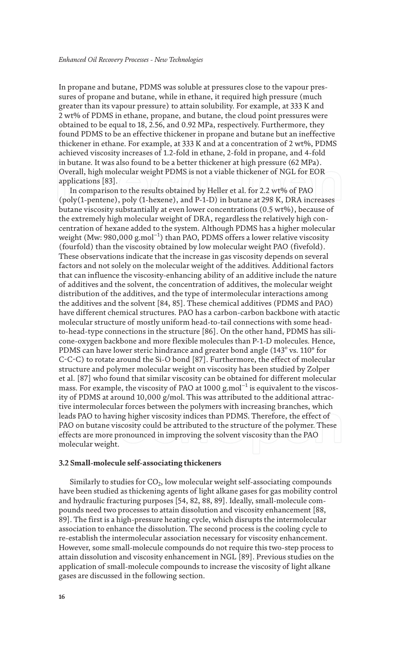In propane and butane, PDMS was soluble at pressures close to the vapour pressures of propane and butane, while in ethane, it required high pressure (much greater than its vapour pressure) to attain solubility. For example, at 333 K and 2 wt% of PDMS in ethane, propane, and butane, the cloud point pressures were obtained to be equal to 18, 2.56, and 0.92 MPa, respectively. Furthermore, they found PDMS to be an effective thickener in propane and butane but an ineffective thickener in ethane. For example, at 333 K and at a concentration of 2 wt%, PDMS achieved viscosity increases of 1.2-fold in ethane, 2-fold in propane, and 4-fold in butane. It was also found to be a better thickener at high pressure (62 MPa). Overall, high molecular weight PDMS is not a viable thickener of NGL for EOR applications [83].

In comparison to the results obtained by Heller et al. for 2.2 wt% of PAO (poly(1-pentene), poly (1-hexene), and P-1-D) in butane at 298 K, DRA increases butane viscosity substantially at even lower concentrations (0.5 wt%), because of the extremely high molecular weight of DRA, regardless the relatively high concentration of hexane added to the system. Although PDMS has a higher molecular weight (Mw: 980,000 g.mol<sup>−1</sup>) than PAO, PDMS offers a lower relative viscosity (fourfold) than the viscosity obtained by low molecular weight PAO (fivefold). These observations indicate that the increase in gas viscosity depends on several factors and not solely on the molecular weight of the additives. Additional factors that can influence the viscosity-enhancing ability of an additive include the nature of additives and the solvent, the concentration of additives, the molecular weight distribution of the additives, and the type of intermolecular interactions among the additives and the solvent [84, 85]. These chemical additives (PDMS and PAO) have different chemical structures. PAO has a carbon-carbon backbone with atactic molecular structure of mostly uniform head-to-tail connections with some headto-head-type connections in the structure [86]. On the other hand, PDMS has silicone-oxygen backbone and more flexible molecules than P-1-D molecules. Hence, PDMS can have lower steric hindrance and greater bond angle (143 $^{\rm o}$  vs. 110 $^{\rm o}$  for C-C-C) to rotate around the Si-O bond [87]. Furthermore, the effect of molecular structure and polymer molecular weight on viscosity has been studied by Zolper et al. [87] who found that similar viscosity can be obtained for different molecular mass. For example, the viscosity of PAO at 1000 g.mol $^{-1}$  is equivalent to the viscosity of PDMS at around 10,000 g/mol. This was attributed to the additional attractive intermolecular forces between the polymers with increasing branches, which leads PAO to having higher viscosity indices than PDMS. Therefore, the effect of PAO on butane viscosity could be attributed to the structure of the polymer. These effects are more pronounced in improving the solvent viscosity than the PAO molecular weight.

#### **3.2 Small-molecule self-associating thickeners**

Similarly to studies for  $CO<sub>2</sub>$ , low molecular weight self-associating compounds have been studied as thickening agents of light alkane gases for gas mobility control and hydraulic fracturing purposes [54, 82, 88, 89]. Ideally, small-molecule compounds need two processes to attain dissolution and viscosity enhancement [88, 89]. The first is a high-pressure heating cycle, which disrupts the intermolecular association to enhance the dissolution. The second process is the cooling cycle to re-establish the intermolecular association necessary for viscosity enhancement. However, some small-molecule compounds do not require this two-step process to attain dissolution and viscosity enhancement in NGL [89]. Previous studies on the application of small-molecule compounds to increase the viscosity of light alkane gases are discussed in the following section.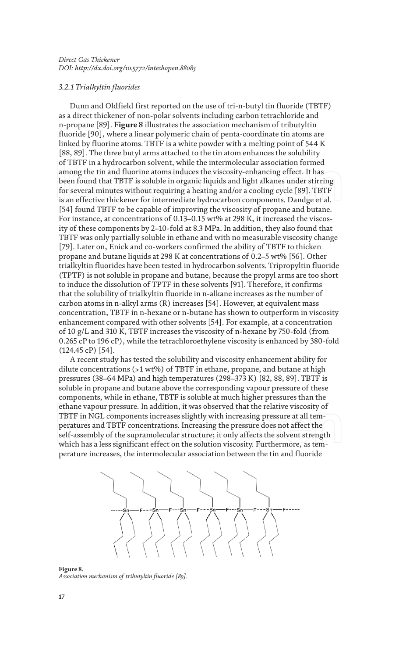#### *3.2.1 Trialkyltin fluorides*

Dunn and Oldfield first reported on the use of tri-n-butyl tin fluoride (TBTF) as a direct thickener of non-polar solvents including carbon tetrachloride and n-propane [89]. **Figure 8** illustrates the association mechanism of tributyltin fluoride [90], where a linear polymeric chain of penta-coordinate tin atoms are linked by fluorine atoms. TBTF is a white powder with a melting point of 544 K [88, 89]. The three butyl arms attached to the tin atom enhances the solubility of TBTF in a hydrocarbon solvent, while the intermolecular association formed among the tin and fluorine atoms induces the viscosity-enhancing effect. It has been found that TBTF is soluble in organic liquids and light alkanes under stirring for several minutes without requiring a heating and/or a cooling cycle [89]. TBTF is an effective thickener for intermediate hydrocarbon components. Dandge et al. [54] found TBTF to be capable of improving the viscosity of propane and butane. For instance, at concentrations of 0.13–0.15 wt% at 298 K, it increased the viscosity of these components by 2–10-fold at 8.3 MPa. In addition, they also found that TBTF was only partially soluble in ethane and with no measurable viscosity change [79]. Later on, Enick and co-workers confirmed the ability of TBTF to thicken propane and butane liquids at 298 K at concentrations of 0.2–5 wt% [56]. Other trialkyltin fluorides have been tested in hydrocarbon solvents. Tripropyltin fluoride (TPTF) is not soluble in propane and butane, because the propyl arms are too short to induce the dissolution of TPTF in these solvents [91]. Therefore, it confirms that the solubility of trialkyltin fluoride in n-alkane increases as the number of carbon atoms in n-alkyl arms (R) increases [54]. However, at equivalent mass concentration, TBTF in n-hexane or n-butane has shown to outperform in viscosity enhancement compared with other solvents [54]. For example, at a concentration of 10 g/L and 310 K, TBTF increases the viscosity of n-hexane by 750-fold (from 0.265 cP to 196 cP), while the tetrachloroethylene viscosity is enhanced by 380-fold (124.45 cP) [54].

A recent study has tested the solubility and viscosity enhancement ability for dilute concentrations (>1 wt%) of TBTF in ethane, propane, and butane at high pressures (38–64 MPa) and high temperatures (298–373 K) [82, 88, 89]. TBTF is soluble in propane and butane above the corresponding vapour pressure of these components, while in ethane, TBTF is soluble at much higher pressures than the ethane vapour pressure. In addition, it was observed that the relative viscosity of TBTF in NGL components increases slightly with increasing pressure at all temperatures and TBTF concentrations. Increasing the pressure does not affect the self-assembly of the supramolecular structure; it only affects the solvent strength which has a less significant effect on the solution viscosity. Furthermore, as temperature increases, the intermolecular association between the tin and fluoride



**Figure 8.** *Association mechanism of tributyltin fluoride [89].*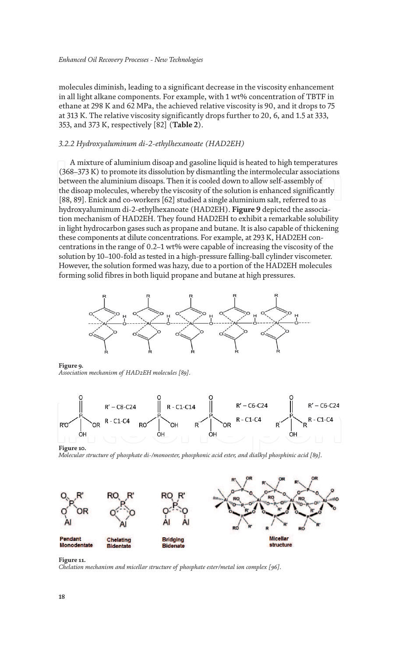molecules diminish, leading to a significant decrease in the viscosity enhancement in all light alkane components. For example, with 1 wt% concentration of TBTF in ethane at 298 K and 62 MPa, the achieved relative viscosity is 90, and it drops to 75 at 313 K. The relative viscosity significantly drops further to 20, 6, and 1.5 at 333, 353, and 373 K, respectively [82] (**Table 2**).

#### *3.2.2 Hydroxyaluminum di-2-ethylhexanoate (HAD2EH)*

A mixture of aluminium disoap and gasoline liquid is heated to high temperatures (368–373 K) to promote its dissolution by dismantling the intermolecular associations between the aluminium disoaps. Then it is cooled down to allow self-assembly of the disoap molecules, whereby the viscosity of the solution is enhanced significantly [88, 89]. Enick and co-workers [62] studied a single aluminium salt, referred to as hydroxyaluminum di-2-ethylhexanoate (HAD2EH). **Figure 9** depicted the association mechanism of HAD2EH. They found HAD2EH to exhibit a remarkable solubility in light hydrocarbon gases such as propane and butane. It is also capable of thickening these components at dilute concentrations. For example, at 293 K, HAD2EH concentrations in the range of 0.2–1 wt% were capable of increasing the viscosity of the solution by 10–100-fold as tested in a high-pressure falling-ball cylinder viscometer. However, the solution formed was hazy, due to a portion of the HAD2EH molecules forming solid fibres in both liquid propane and butane at high pressures.



**Figure 9.** *Association mechanism of HAD2EH molecules [89].*



**Figure 10.**

*Molecular structure of phosphate di-/monoester, phosphonic acid ester, and dialkyl phosphinic acid [89].*



**Figure 11.**

*Chelation mechanism and micellar structure of phosphate ester/metal ion complex [96].*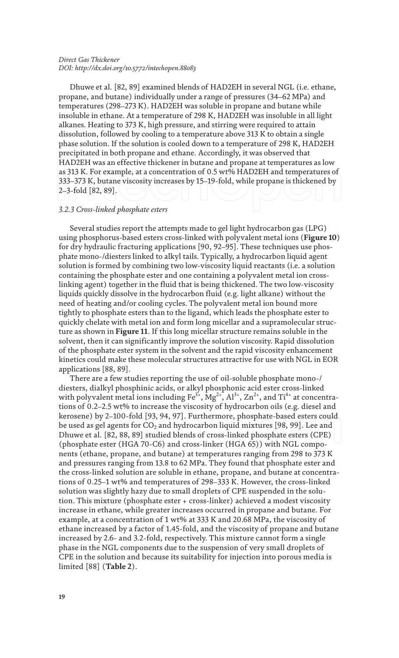Dhuwe et al. [82, 89] examined blends of HAD2EH in several NGL (i.e. ethane, propane, and butane) individually under a range of pressures (34–62 MPa) and temperatures (298–273 K). HAD2EH was soluble in propane and butane while insoluble in ethane. At a temperature of 298 K, HAD2EH was insoluble in all light alkanes. Heating to 373 K, high pressure, and stirring were required to attain dissolution, followed by cooling to a temperature above 313 K to obtain a single phase solution. If the solution is cooled down to a temperature of 298 K, HAD2EH precipitated in both propane and ethane. Accordingly, it was observed that HAD2EH was an effective thickener in butane and propane at temperatures as low as 313 K. For example, at a concentration of 0.5 wt% HAD2EH and temperatures of 333–373 K, butane viscosity increases by 15–19-fold, while propane is thickened by 2–3-fold [82, 89].

#### *3.2.3 Cross-linked phosphate esters*

Several studies report the attempts made to gel light hydrocarbon gas (LPG) using phosphorus-based esters cross-linked with polyvalent metal ions (**Figure 10**) for dry hydraulic fracturing applications [90, 92–95]. These techniques use phosphate mono-/diesters linked to alkyl tails. Typically, a hydrocarbon liquid agent solution is formed by combining two low-viscosity liquid reactants (i.e. a solution containing the phosphate ester and one containing a polyvalent metal ion crosslinking agent) together in the fluid that is being thickened. The two low-viscosity liquids quickly dissolve in the hydrocarbon fluid (e.g. light alkane) without the need of heating and/or cooling cycles. The polyvalent metal ion bound more tightly to phosphate esters than to the ligand, which leads the phosphate ester to quickly chelate with metal ion and form long micellar and a supramolecular structure as shown in **Figure 11**. If this long micellar structure remains soluble in the solvent, then it can significantly improve the solution viscosity. Rapid dissolution of the phosphate ester system in the solvent and the rapid viscosity enhancement kinetics could make these molecular structures attractive for use with NGL in EOR applications [88, 89].

There are a few studies reporting the use of oil-soluble phosphate mono-/ diesters, dialkyl phosphinic acids, or alkyl phosphonic acid ester cross-linked with polyvalent metal ions including  $Fe^{3+}$ ,  $Mg^{2+}$ ,  $Al^{3+}$ ,  $Zn^{2+}$ , and  $Ti^{4+}$  at concentrations of 0.2–2.5 wt% to increase the viscosity of hydrocarbon oils (e.g. diesel and kerosene) by 2–100-fold [93, 94, 97]. Furthermore, phosphate-based esters could be used as gel agents for  $CO<sub>2</sub>$  and hydrocarbon liquid mixtures [98, 99]. Lee and Dhuwe et al. [82, 88, 89] studied blends of cross-linked phosphate esters (CPE) (phosphate ester (HGA 70-C6) and cross-linker (HGA 65)) with NGL components (ethane, propane, and butane) at temperatures ranging from 298 to 373 K and pressures ranging from 13.8 to 62 MPa. They found that phosphate ester and the cross-linked solution are soluble in ethane, propane, and butane at concentrations of 0.25–1 wt% and temperatures of 298–333 K. However, the cross-linked solution was slightly hazy due to small droplets of CPE suspended in the solution. This mixture (phosphate ester + cross-linker) achieved a modest viscosity increase in ethane, while greater increases occurred in propane and butane. For example, at a concentration of 1 wt% at 333 K and 20.68 MPa, the viscosity of ethane increased by a factor of 1.45-fold, and the viscosity of propane and butane increased by 2.6- and 3.2-fold, respectively. This mixture cannot form a single phase in the NGL components due to the suspension of very small droplets of CPE in the solution and because its suitability for injection into porous media is limited [88] (**Table 2**).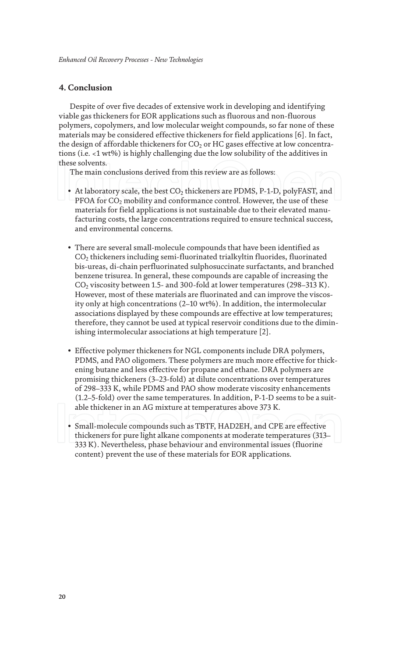# **4. Conclusion**

Despite of over five decades of extensive work in developing and identifying viable gas thickeners for EOR applications such as fluorous and non-fluorous polymers, copolymers, and low molecular weight compounds, so far none of these materials may be considered effective thickeners for field applications [6]. In fact, the design of affordable thickeners for  $CO<sub>2</sub>$  or HC gases effective at low concentrations (i.e. <1 wt%) is highly challenging due the low solubility of the additives in these solvents.

The main conclusions derived from this review are as follows:

- At laboratory scale, the best  $CO<sub>2</sub>$  thickeners are PDMS, P-1-D, polyFAST, and PFOA for  $CO<sub>2</sub>$  mobility and conformance control. However, the use of these materials for field applications is not sustainable due to their elevated manufacturing costs, the large concentrations required to ensure technical success, and environmental concerns.
- There are several small-molecule compounds that have been identified as CO2 thickeners including semi-fluorinated trialkyltin fluorides, fluorinated bis-ureas, di-chain perfluorinated sulphosuccinate surfactants, and branched benzene trisurea. In general, these compounds are capable of increasing the CO2 viscosity between 1.5- and 300-fold at lower temperatures (298–313 K). However, most of these materials are fluorinated and can improve the viscosity only at high concentrations (2–10 wt%). In addition, the intermolecular associations displayed by these compounds are effective at low temperatures; therefore, they cannot be used at typical reservoir conditions due to the diminishing intermolecular associations at high temperature [2].
- Effective polymer thickeners for NGL components include DRA polymers, PDMS, and PAO oligomers. These polymers are much more effective for thickening butane and less effective for propane and ethane. DRA polymers are promising thickeners (3–23-fold) at dilute concentrations over temperatures of 298–333 K, while PDMS and PAO show moderate viscosity enhancements (1.2–5-fold) over the same temperatures. In addition, P-1-D seems to be a suitable thickener in an AG mixture at temperatures above 373 K.
- Small-molecule compounds such as TBTF, HAD2EH, and CPE are effective thickeners for pure light alkane components at moderate temperatures (313– 333 K). Nevertheless, phase behaviour and environmental issues (fluorine content) prevent the use of these materials for EOR applications.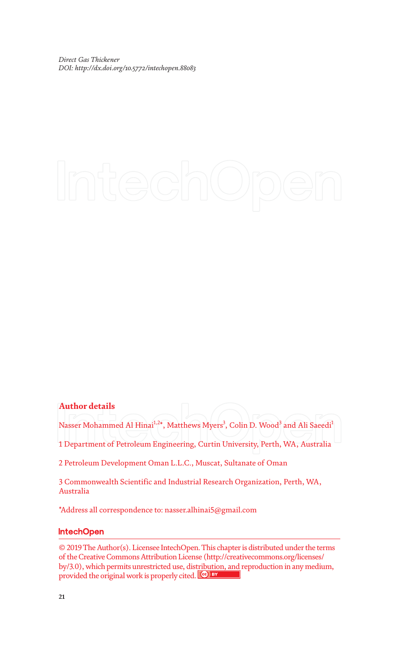## **Author details**

Nasser Mohammed Al Hinai $^{1,2*}$ , Matthews Myers $^3$ , Colin D. Wood $^3$  and Ali Saeedi $^1$ 

1 Department of Petroleum Engineering, Curtin University, Perth, WA, Australia

2 Petroleum Development Oman L.L.C., Muscat, Sultanate of Oman

3 Commonwealth Scientific and Industrial Research Organization, Perth, WA, Australia

\*Address all correspondence to: nasser.alhinai5@gmail.com

### **IntechOpen**

© 2019 The Author(s). Licensee IntechOpen. This chapter is distributed under the terms of the Creative Commons Attribution License (http://creativecommons.org/licenses/ by/3.0), which permits unrestricted use, distribution, and reproduction in any medium, provided the original work is properly cited.  $\left[\mathbf{e}\right]$  BY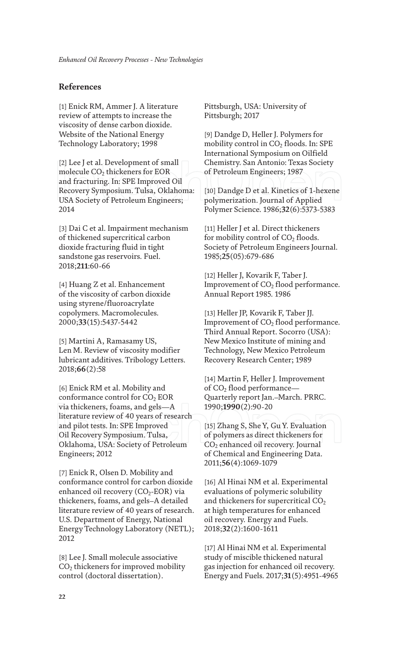# **References**

[1] Enick RM, Ammer J. A literature review of attempts to increase the viscosity of dense carbon dioxide. Website of the National Energy Technology Laboratory; 1998

[2] Lee J et al. Development of small molecule CO<sub>2</sub> thickeners for EOR and fracturing. In: SPE Improved Oil Recovery Symposium. Tulsa, Oklahoma: USA Society of Petroleum Engineers; 2014

[3] Dai C et al. Impairment mechanism of thickened supercritical carbon dioxide fracturing fluid in tight sandstone gas reservoirs. Fuel. 2018;**211**:60-66

[4] Huang Z et al. Enhancement of the viscosity of carbon dioxide using styrene/fluoroacrylate copolymers. Macromolecules. 2000;**33**(15):5437-5442

[5] Martini A, Ramasamy US, Len M. Review of viscosity modifier lubricant additives. Tribology Letters. 2018;**66**(2):58

[6] Enick RM et al. Mobility and conformance control for  $CO<sub>2</sub> EOR$ via thickeners, foams, and gels—A literature review of 40 years of research and pilot tests. In: SPE Improved Oil Recovery Symposium. Tulsa, Oklahoma, USA: Society of Petroleum Engineers; 2012

[7] Enick R, Olsen D. Mobility and conformance control for carbon dioxide enhanced oil recovery  $(CO<sub>2</sub>-EOR)$  via thickeners, foams, and gels–A detailed literature review of 40 years of research. U.S. Department of Energy, National Energy Technology Laboratory (NETL); 2012

[8] Lee J. Small molecule associative  $CO<sub>2</sub>$  thickeners for improved mobility control (doctoral dissertation).

Pittsburgh, USA: University of Pittsburgh; 2017

[9] Dandge D, Heller J. Polymers for mobility control in  $CO<sub>2</sub>$  floods. In: SPE International Symposium on Oilfield Chemistry. San Antonio: Texas Society of Petroleum Engineers; 1987

[10] Dandge D et al. Kinetics of 1-hexene polymerization. Journal of Applied Polymer Science. 1986;**32**(6):5373-5383

[11] Heller J et al. Direct thickeners for mobility control of  $CO<sub>2</sub>$  floods. Society of Petroleum Engineers Journal. 1985;**25**(05):679-686

[12] Heller J, Kovarik F, Taber J. Improvement of  $CO<sub>2</sub>$  flood performance. Annual Report 1985. 1986

[13] Heller JP, Kovarik F, Taber JJ. Improvement of  $CO<sub>2</sub>$  flood performance. Third Annual Report. Socorro (USA): New Mexico Institute of mining and Technology, New Mexico Petroleum Recovery Research Center; 1989

[14] Martin F, Heller J. Improvement of CO<sub>2</sub> flood performance-Quarterly report Jan.–March. PRRC. 1990;**1990**(2):90-20

[15] Zhang S, She Y, Gu Y. Evaluation of polymers as direct thickeners for CO<sub>2</sub> enhanced oil recovery. Journal of Chemical and Engineering Data. 2011;**56**(4):1069-1079

[16] Al Hinai NM et al. Experimental evaluations of polymeric solubility and thickeners for supercritical  $CO<sub>2</sub>$ at high temperatures for enhanced oil recovery. Energy and Fuels. 2018;**32**(2):1600-1611

[17] Al Hinai NM et al. Experimental study of miscible thickened natural gas injection for enhanced oil recovery. Energy and Fuels. 2017;**31**(5):4951-4965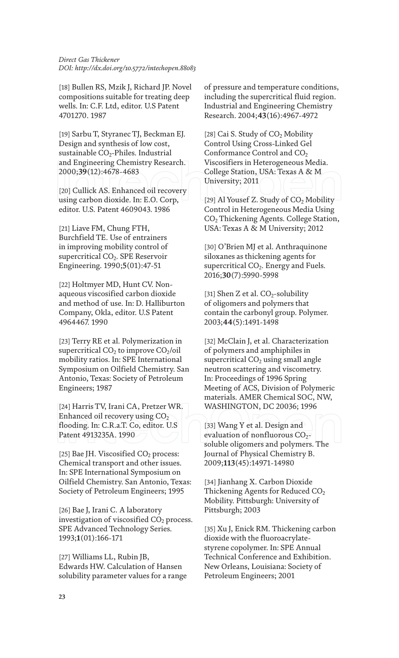[18] Bullen RS, Mzik J, Richard JP. Novel compositions suitable for treating deep wells. In: C.F. Ltd, editor. U.S Patent 4701270. 1987

[19] Sarbu T, Styranec TJ, Beckman EJ. Design and synthesis of low cost, sustainable  $CO<sub>2</sub>$ -Philes. Industrial and Engineering Chemistry Research. 2000;**39**(12):4678-4683

[20] Cullick AS. Enhanced oil recovery using carbon dioxide. In: E.O. Corp, editor. U.S. Patent 4609043. 1986

[21] Liave FM, Chung FTH, Burchfield TE. Use of entrainers in improving mobility control of supercritical CO<sub>2</sub>. SPE Reservoir Engineering. 1990;**5**(01):47-51

[22] Holtmyer MD, Hunt CV. Nonaqueous viscosified carbon dioxide and method of use. In: D. Halliburton Company, Okla, editor. U.S Patent 4964467. 1990

[23] Terry RE et al. Polymerization in supercritical  $CO<sub>2</sub>$  to improve  $CO<sub>2</sub>/oil$ mobility ratios. In: SPE International Symposium on Oilfield Chemistry. San Antonio, Texas: Society of Petroleum Engineers; 1987

[24] Harris TV, Irani CA, Pretzer WR. Enhanced oil recovery using  $CO<sub>2</sub>$ flooding. In: C.R.a.T. Co, editor. U.S Patent 4913235A. 1990

[25] Bae JH. Viscosified  $CO<sub>2</sub>$  process: Chemical transport and other issues. In: SPE International Symposium on Oilfield Chemistry. San Antonio, Texas: Society of Petroleum Engineers; 1995

[26] Bae J, Irani C. A laboratory investigation of viscosified  $CO<sub>2</sub>$  process. SPE Advanced Technology Series. 1993;**1**(01):166-171

[27] Williams LL, Rubin JB, Edwards HW. Calculation of Hansen solubility parameter values for a range of pressure and temperature conditions, including the supercritical fluid region. Industrial and Engineering Chemistry Research. 2004;**43**(16):4967-4972

[28] Cai S. Study of  $CO<sub>2</sub>$  Mobility Control Using Cross-Linked Gel Conformance Control and  $CO<sub>2</sub>$ Viscosifiers in Heterogeneous Media. College Station, USA: Texas A & M University; 2011

[29] Al Yousef Z. Study of  $CO<sub>2</sub>$  Mobility Control in Heterogeneous Media Using CO2 Thickening Agents. College Station, USA: Texas A & M University; 2012

[30] O'Brien MJ et al. Anthraquinone siloxanes as thickening agents for supercritical CO<sub>2</sub>. Energy and Fuels. 2016;**30**(7):5990-5998

[31] Shen Z et al.  $CO_2$ -solubility of oligomers and polymers that contain the carbonyl group. Polymer. 2003;**44**(5):1491-1498

[32] McClain J, et al. Characterization of polymers and amphiphiles in supercritical  $CO<sub>2</sub>$  using small angle neutron scattering and viscometry. In: Proceedings of 1996 Spring Meeting of ACS, Division of Polymeric materials. AMER Chemical SOC, NW, WASHINGTON, DC 20036; 1996

[33] Wang Y et al. Design and evaluation of nonfluorous  $CO<sub>2</sub>$ soluble oligomers and polymers. The Journal of Physical Chemistry B. 2009;**113**(45):14971-14980

[34] Jianhang X. Carbon Dioxide Thickening Agents for Reduced  $CO<sub>2</sub>$ Mobility. Pittsburgh: University of Pittsburgh; 2003

[35] Xu J, Enick RM. Thickening carbon dioxide with the fluoroacrylatestyrene copolymer. In: SPE Annual Technical Conference and Exhibition. New Orleans, Louisiana: Society of Petroleum Engineers; 2001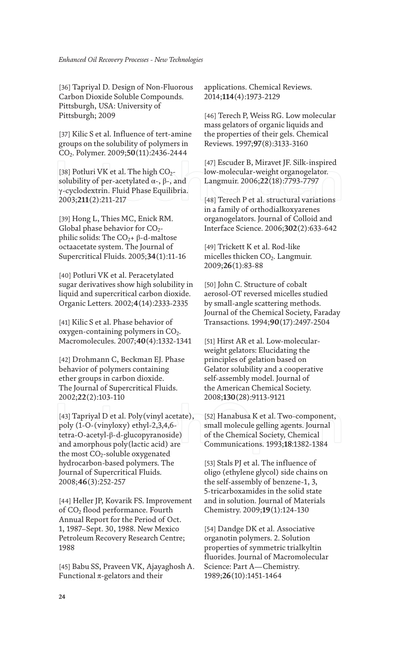[36] Tapriyal D. Design of Non-Fluorous Carbon Dioxide Soluble Compounds. Pittsburgh, USA: University of Pittsburgh; 2009

[37] Kilic S et al. Influence of tert-amine groups on the solubility of polymers in CO2. Polymer. 2009;**50**(11):2436-2444

[38] Potluri VK et al. The high  $CO<sub>2</sub>$ solubility of per-acetylated  $\alpha$ -,  $\beta$ -, and γ-cyclodextrin. Fluid Phase Equilibria. 2003;**211**(2):211-217

[39] Hong L, Thies MC, Enick RM. Global phase behavior for  $CO<sub>2</sub>$ philic solids: The  $CO<sub>2</sub> + β$ -d-maltose octaacetate system. The Journal of Supercritical Fluids. 2005;**34**(1):11-16

[40] Potluri VK et al. Peracetylated sugar derivatives show high solubility in liquid and supercritical carbon dioxide. Organic Letters. 2002;**4**(14):2333-2335

[41] Kilic S et al. Phase behavior of oxygen-containing polymers in  $CO<sub>2</sub>$ . Macromolecules. 2007;**40**(4):1332-1341

[42] Drohmann C, Beckman EJ. Phase behavior of polymers containing ether groups in carbon dioxide. The Journal of Supercritical Fluids. 2002;**22**(2):103-110

[43] Tapriyal D et al. Poly(vinyl acetate), poly (1-O-(vinyloxy) ethyl-2,3,4,6 tetra-O-acetyl-β-d-glucopyranoside) and amorphous poly(lactic acid) are the most  $CO<sub>2</sub>$ -soluble oxygenated hydrocarbon-based polymers. The Journal of Supercritical Fluids. 2008;**46**(3):252-257

[44] Heller JP, Kovarik FS. Improvement of CO<sub>2</sub> flood performance. Fourth Annual Report for the Period of Oct. 1, 1987–Sept. 30, 1988. New Mexico Petroleum Recovery Research Centre; 1988

[45] Babu SS, Praveen VK, Ajayaghosh A. Functional  $\pi$ -gelators and their

applications. Chemical Reviews. 2014;**114**(4):1973-2129

[46] Terech P, Weiss RG. Low molecular mass gelators of organic liquids and the properties of their gels. Chemical Reviews. 1997;**97**(8):3133-3160

[47] Escuder B, Miravet JF. Silk-inspired low-molecular-weight organogelator. Langmuir. 2006;**22**(18):7793-7797

[48] Terech P et al. structural variations in a family of orthodialkoxyarenes organogelators. Journal of Colloid and Interface Science. 2006;**302**(2):633-642

[49] Trickett K et al. Rod-like micelles thicken CO<sub>2</sub>. Langmuir. 2009;**26**(1):83-88

[50] John C. Structure of cobalt aerosol-OT reversed micelles studied by small-angle scattering methods. Journal of the Chemical Society, Faraday Transactions. 1994;**90**(17):2497-2504

[51] Hirst AR et al. Low-molecularweight gelators: Elucidating the principles of gelation based on Gelator solubility and a cooperative self-assembly model. Journal of the American Chemical Society. 2008;**130**(28):9113-9121

[52] Hanabusa K et al. Two-component, small molecule gelling agents. Journal of the Chemical Society, Chemical Communications. 1993;**18**:1382-1384

[53] Stals PJ et al. The influence of oligo (ethylene glycol) side chains on the self-assembly of benzene-1, 3, 5-tricarboxamides in the solid state and in solution. Journal of Materials Chemistry. 2009;**19**(1):124-130

[54] Dandge DK et al. Associative organotin polymers. 2. Solution properties of symmetric trialkyltin fluorides. Journal of Macromolecular Science: Part A—Chemistry. 1989;**26**(10):1451-1464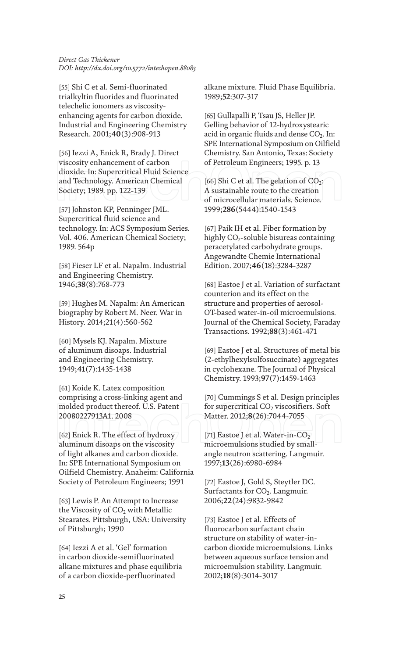[55] Shi C et al. Semi-fluorinated trialkyltin fluorides and fluorinated telechelic ionomers as viscosityenhancing agents for carbon dioxide. Industrial and Engineering Chemistry Research. 2001;**40**(3):908-913

[56] Iezzi A, Enick R, Brady J. Direct viscosity enhancement of carbon dioxide. In: Supercritical Fluid Science and Technology. American Chemical Society; 1989. pp. 122-139

[57] Johnston KP, Penninger JML. Supercritical fluid science and technology. In: ACS Symposium Series. Vol. 406. American Chemical Society; 1989. 564p

[58] Fieser LF et al. Napalm. Industrial and Engineering Chemistry. 1946;**38**(8):768-773

[59] Hughes M. Napalm: An American biography by Robert M. Neer. War in History. 2014;21(4):560-562

[60] Mysels KJ. Napalm. Mixture of aluminum disoaps. Industrial and Engineering Chemistry. 1949;**41**(7):1435-1438

[61] Koide K. Latex composition comprising a cross-linking agent and molded product thereof. U.S. Patent 20080227913A1. 2008

[62] Enick R. The effect of hydroxy aluminum disoaps on the viscosity of light alkanes and carbon dioxide. In: SPE International Symposium on Oilfield Chemistry. Anaheim: California Society of Petroleum Engineers; 1991

[63] Lewis P. An Attempt to Increase the Viscosity of  $CO<sub>2</sub>$  with Metallic Stearates. Pittsburgh, USA: University of Pittsburgh; 1990

[64] Iezzi A et al. 'Gel' formation in carbon dioxide-semifluorinated alkane mixtures and phase equilibria of a carbon dioxide-perfluorinated

alkane mixture. Fluid Phase Equilibria. 1989;**52**:307-317

[65] Gullapalli P, Tsau JS, Heller JP. Gelling behavior of 12-hydroxystearic acid in organic fluids and dense  $CO<sub>2</sub>$ . In: SPE International Symposium on Oilfield Chemistry. San Antonio, Texas: Society of Petroleum Engineers; 1995. p. 13

[66] Shi C et al. The gelation of  $CO_2$ : A sustainable route to the creation of microcellular materials. Science. 1999;**286**(5444):1540-1543

[67] Paik IH et al. Fiber formation by highly  $CO_2$ -soluble bisureas containing peracetylated carbohydrate groups. Angewandte Chemie International Edition. 2007;**46**(18):3284-3287

[68] Eastoe J et al. Variation of surfactant counterion and its effect on the structure and properties of aerosol-OT-based water-in-oil microemulsions. Journal of the Chemical Society, Faraday Transactions. 1992;**88**(3):461-471

[69] Eastoe J et al. Structures of metal bis (2-ethylhexylsulfosuccinate) aggregates in cyclohexane. The Journal of Physical Chemistry. 1993;**97**(7):1459-1463

[70] Cummings S et al. Design principles for supercritical  $CO<sub>2</sub>$  viscosifiers. Soft Matter. 2012;**8**(26):7044-7055

[71] Eastoe J et al. Water-in- $CO<sub>2</sub>$ microemulsions studied by smallangle neutron scattering. Langmuir. 1997;**13**(26):6980-6984

[72] Eastoe J, Gold S, Steytler DC. Surfactants for  $CO<sub>2</sub>$ . Langmuir. 2006;**22**(24):9832-9842

[73] Eastoe J et al. Effects of fluorocarbon surfactant chain structure on stability of water-incarbon dioxide microemulsions. Links between aqueous surface tension and microemulsion stability. Langmuir. 2002;**18**(8):3014-3017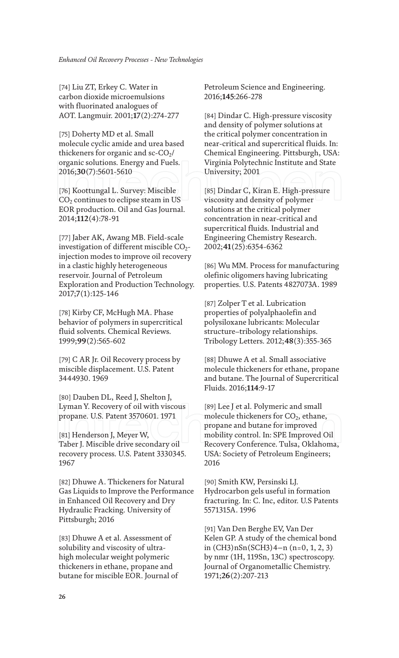[74] Liu ZT, Erkey C. Water in carbon dioxide microemulsions with fluorinated analogues of AOT. Langmuir. 2001;**17**(2):274-277

[75] Doherty MD et al. Small molecule cyclic amide and urea based thickeners for organic and sc- $CO<sub>2</sub>/$ organic solutions. Energy and Fuels. 2016;**30**(7):5601-5610

[76] Koottungal L. Survey: Miscible  $CO<sub>2</sub>$  continues to eclipse steam in US EOR production. Oil and Gas Journal. 2014;**112**(4):78-91

[77] Jaber AK, Awang MB. Field-scale investigation of different miscible  $CO<sub>2</sub>$ injection modes to improve oil recovery in a clastic highly heterogeneous reservoir. Journal of Petroleum Exploration and Production Technology. 2017;**7**(1):125-146

[78] Kirby CF, McHugh MA. Phase behavior of polymers in supercritical fluid solvents. Chemical Reviews. 1999;**99**(2):565-602

[79] C AR Jr. Oil Recovery process by miscible displacement. U.S. Patent 3444930. 1969

[80] Dauben DL, Reed J, Shelton J, Lyman Y. Recovery of oil with viscous propane. U.S. Patent 3570601. 1971

[81] Henderson J, Meyer W, Taber J. Miscible drive secondary oil recovery process. U.S. Patent 3330345. 1967

[82] Dhuwe A. Thickeners for Natural Gas Liquids to Improve the Performance in Enhanced Oil Recovery and Dry Hydraulic Fracking. University of Pittsburgh; 2016

[83] Dhuwe A et al. Assessment of solubility and viscosity of ultrahigh molecular weight polymeric thickeners in ethane, propane and butane for miscible EOR. Journal of Petroleum Science and Engineering. 2016;**145**:266-278

[84] Dindar C. High-pressure viscosity and density of polymer solutions at the critical polymer concentration in near-critical and supercritical fluids. In: Chemical Engineering. Pittsburgh, USA: Virginia Polytechnic Institute and State University; 2001

[85] Dindar C, Kiran E. High-pressure viscosity and density of polymer solutions at the critical polymer concentration in near-critical and supercritical fluids. Industrial and Engineering Chemistry Research. 2002;**41**(25):6354-6362

[86] Wu MM. Process for manufacturing olefinic oligomers having lubricating properties. U.S. Patents 4827073A. 1989

[87] Zolper T et al. Lubrication properties of polyalphaolefin and polysiloxane lubricants: Molecular structure–tribology relationships. Tribology Letters. 2012;**48**(3):355-365

[88] Dhuwe A et al. Small associative molecule thickeners for ethane, propane and butane. The Journal of Supercritical Fluids. 2016;**114**:9-17

[89] Lee J et al. Polymeric and small molecule thickeners for  $CO<sub>2</sub>$ , ethane, propane and butane for improved mobility control. In: SPE Improved Oil Recovery Conference. Tulsa, Oklahoma, USA: Society of Petroleum Engineers; 2016

[90] Smith KW, Persinski LJ. Hydrocarbon gels useful in formation fracturing. In: C. Inc, editor. U.S Patents 5571315A. 1996

[91] Van Den Berghe EV, Van Der Kelen GP. A study of the chemical bond in (CH3)nSn(SCH3)4−n (n=0, 1, 2, 3) by nmr (1H, 119Sn, 13C) spectroscopy. Journal of Organometallic Chemistry. 1971;**26**(2):207-213